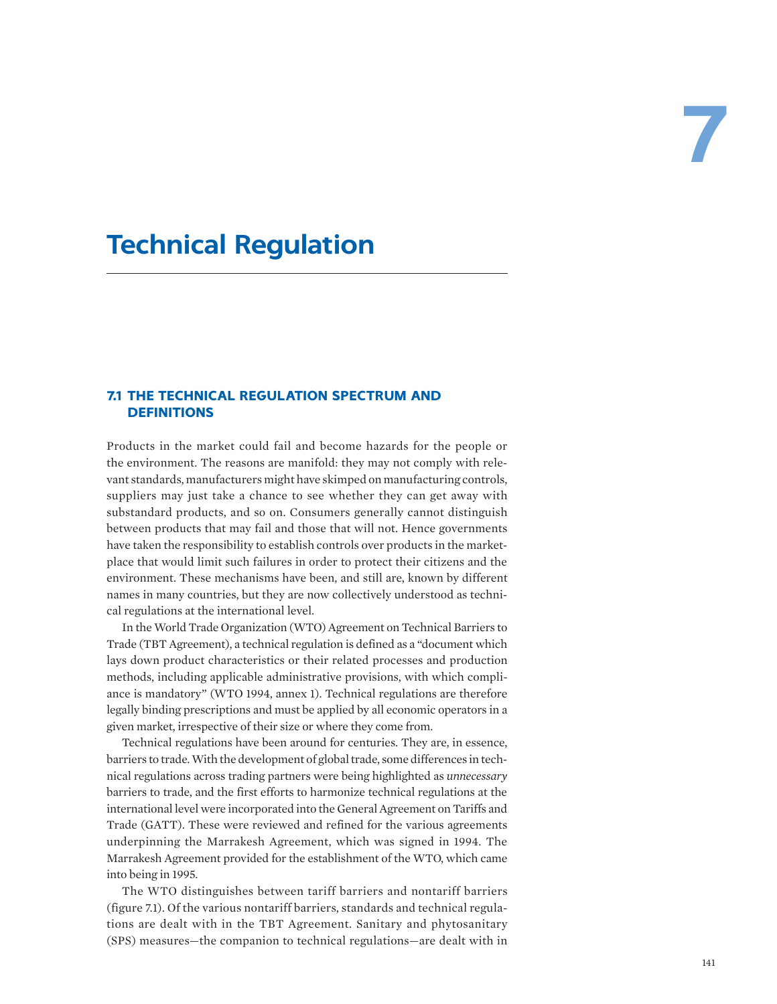# **Technical Regulation**

# **7.1 THE TECHNICAL REGULATION SPECTRUM AND DEFINITIONS**

Products in the market could fail and become hazards for the people or the environment. The reasons are manifold: they may not comply with relevant standards, manufacturers might have skimped on manufacturing controls, suppliers may just take a chance to see whether they can get away with substandard products, and so on. Consumers generally cannot distinguish between products that may fail and those that will not. Hence governments have taken the responsibility to establish controls over products in the marketplace that would limit such failures in order to protect their citizens and the environment. These mechanisms have been, and still are, known by different names in many countries, but they are now collectively understood as technical regulations at the international level.

In the World Trade Organization (WTO) Agreement on Technical Barriers to Trade (TBT Agreement), a technical regulation is defined as a "document which lays down product characteristics or their related processes and production methods, including applicable administrative provisions, with which compliance is mandatory" (WTO 1994, annex 1). Technical regulations are therefore legally binding prescriptions and must be applied by all economic operators in a given market, irrespective of their size or where they come from.

Technical regulations have been around for centuries. They are, in essence, barriers to trade. With the development of global trade, some differences in technical regulations across trading partners were being highlighted as *unnecessary* barriers to trade, and the first efforts to harmonize technical regulations at the international level were incorporated into the General Agreement on Tariffs and Trade (GATT). These were reviewed and refined for the various agreements underpinning the Marrakesh Agreement, which was signed in 1994. The Marrakesh Agreement provided for the establishment of the WTO, which came into being in 1995.

The WTO distinguishes between tariff barriers and nontariff barriers (figure 7.1). Of the various nontariff barriers, standards and technical regulations are dealt with in the TBT Agreement. Sanitary and phytosanitary (SPS) measures—the companion to technical regulations—are dealt with in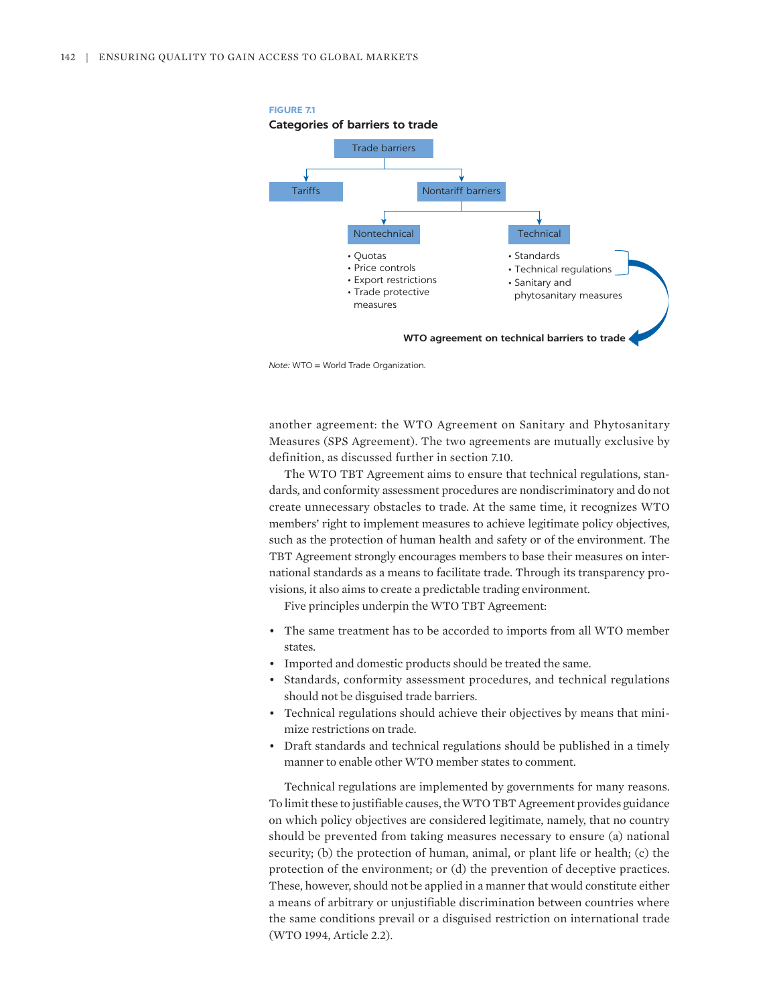

*Note:* WTO = World Trade Organization.

another agreement: the WTO Agreement on Sanitary and Phytosanitary Measures (SPS Agreement). The two agreements are mutually exclusive by definition, as discussed further in section 7.10.

The WTO TBT Agreement aims to ensure that technical regulations, standards, and conformity assessment procedures are nondiscriminatory and do not create unnecessary obstacles to trade. At the same time, it recognizes WTO members' right to implement measures to achieve legitimate policy objectives, such as the protection of human health and safety or of the environment. The TBT Agreement strongly encourages members to base their measures on international standards as a means to facilitate trade. Through its transparency provisions, it also aims to create a predictable trading environment.

Five principles underpin the WTO TBT Agreement:

- The same treatment has to be accorded to imports from all WTO member states.
- Imported and domestic products should be treated the same.
- Standards, conformity assessment procedures, and technical regulations should not be disguised trade barriers.
- Technical regulations should achieve their objectives by means that minimize restrictions on trade.
- Draft standards and technical regulations should be published in a timely manner to enable other WTO member states to comment.

Technical regulations are implemented by governments for many reasons. To limit these to justifiable causes, the WTO TBT Agreement provides guidance on which policy objectives are considered legitimate, namely, that no country should be prevented from taking measures necessary to ensure (a) national security; (b) the protection of human, animal, or plant life or health; (c) the protection of the environment; or (d) the prevention of deceptive practices. These, however, should not be applied in a manner that would constitute either a means of arbitrary or unjustifiable discrimination between countries where the same conditions prevail or a disguised restriction on international trade (WTO 1994, Article 2.2).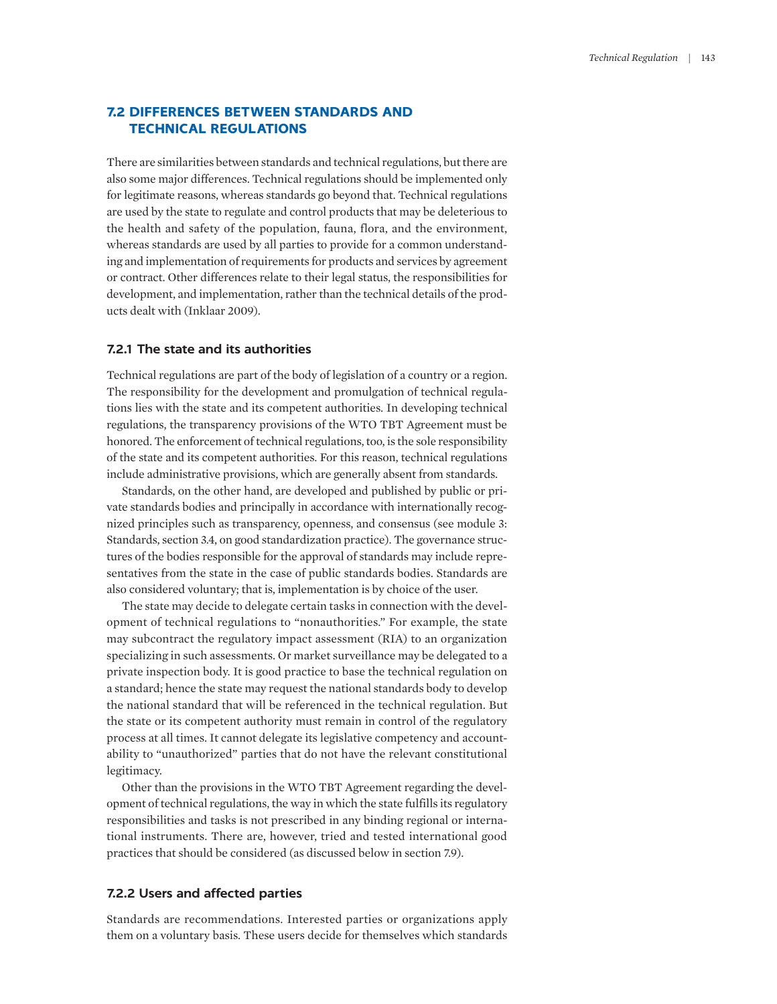# **7.2 DIFFERENCES BETWEEN STANDARDS AND TECHNICAL REGULATIONS**

There are similarities between standards and technical regulations, but there are also some major differences. Technical regulations should be implemented only for legitimate reasons, whereas standards go beyond that. Technical regulations are used by the state to regulate and control products that may be deleterious to the health and safety of the population, fauna, flora, and the environment, whereas standards are used by all parties to provide for a common understanding and implementation of requirements for products and services by agreement or contract. Other differences relate to their legal status, the responsibilities for development, and implementation, rather than the technical details of the products dealt with (Inklaar 2009).

## **7.2.1 The state and its authorities**

Technical regulations are part of the body of legislation of a country or a region. The responsibility for the development and promulgation of technical regulations lies with the state and its competent authorities. In developing technical regulations, the transparency provisions of the WTO TBT Agreement must be honored. The enforcement of technical regulations, too, is the sole responsibility of the state and its competent authorities. For this reason, technical regulations include administrative provisions, which are generally absent from standards.

Standards, on the other hand, are developed and published by public or private standards bodies and principally in accordance with internationally recognized principles such as transparency, openness, and consensus (see module 3: Standards, section 3.4, on good standardization practice). The governance structures of the bodies responsible for the approval of standards may include representatives from the state in the case of public standards bodies. Standards are also considered voluntary; that is, implementation is by choice of the user.

The state may decide to delegate certain tasks in connection with the development of technical regulations to "nonauthorities." For example, the state may subcontract the regulatory impact assessment (RIA) to an organization specializing in such assessments. Or market surveillance may be delegated to a private inspection body. It is good practice to base the technical regulation on a standard; hence the state may request the national standards body to develop the national standard that will be referenced in the technical regulation. But the state or its competent authority must remain in control of the regulatory process at all times. It cannot delegate its legislative competency and accountability to "unauthorized" parties that do not have the relevant constitutional legitimacy.

Other than the provisions in the WTO TBT Agreement regarding the development of technical regulations, the way in which the state fulfills its regulatory responsibilities and tasks is not prescribed in any binding regional or international instruments. There are, however, tried and tested international good practices that should be considered (as discussed below in section 7.9).

#### **7.2.2 Users and affected parties**

Standards are recommendations. Interested parties or organizations apply them on a voluntary basis. These users decide for themselves which standards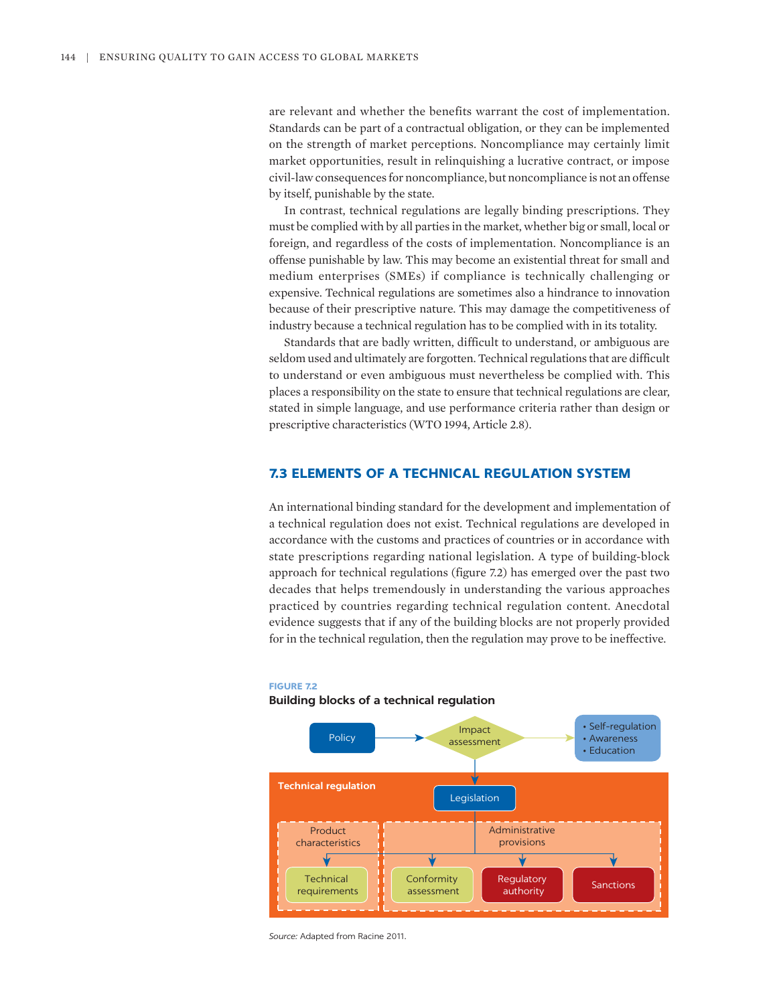are relevant and whether the benefits warrant the cost of implementation. Standards can be part of a contractual obligation, or they can be implemented on the strength of market perceptions. Noncompliance may certainly limit market opportunities, result in relinquishing a lucrative contract, or impose civil-law consequences for noncompliance, but noncompliance is not an offense by itself, punishable by the state.

In contrast, technical regulations are legally binding prescriptions. They must be complied with by all parties in the market, whether big or small, local or foreign, and regardless of the costs of implementation. Noncompliance is an offense punishable by law. This may become an existential threat for small and medium enterprises (SMEs) if compliance is technically challenging or expensive. Technical regulations are sometimes also a hindrance to innovation because of their prescriptive nature. This may damage the competitiveness of industry because a technical regulation has to be complied with in its totality.

Standards that are badly written, difficult to understand, or ambiguous are seldom used and ultimately are forgotten. Technical regulations that are difficult to understand or even ambiguous must nevertheless be complied with. This places a responsibility on the state to ensure that technical regulations are clear, stated in simple language, and use performance criteria rather than design or prescriptive characteristics (WTO 1994, Article 2.8).

# **7.3 ELEMENTS OF A TECHNICAL REGULATION SYSTEM**

An international binding standard for the development and implementation of a technical regulation does not exist. Technical regulations are developed in accordance with the customs and practices of countries or in accordance with state prescriptions regarding national legislation. A type of building-block approach for technical regulations (figure 7.2) has emerged over the past two decades that helps tremendously in understanding the various approaches practiced by countries regarding technical regulation content. Anecdotal evidence suggests that if any of the building blocks are not properly provided for in the technical regulation, then the regulation may prove to be ineffective.



#### **FIGURE 7.2**

#### **Building blocks of a technical regulation**

*Source:* Adapted from Racine 2011.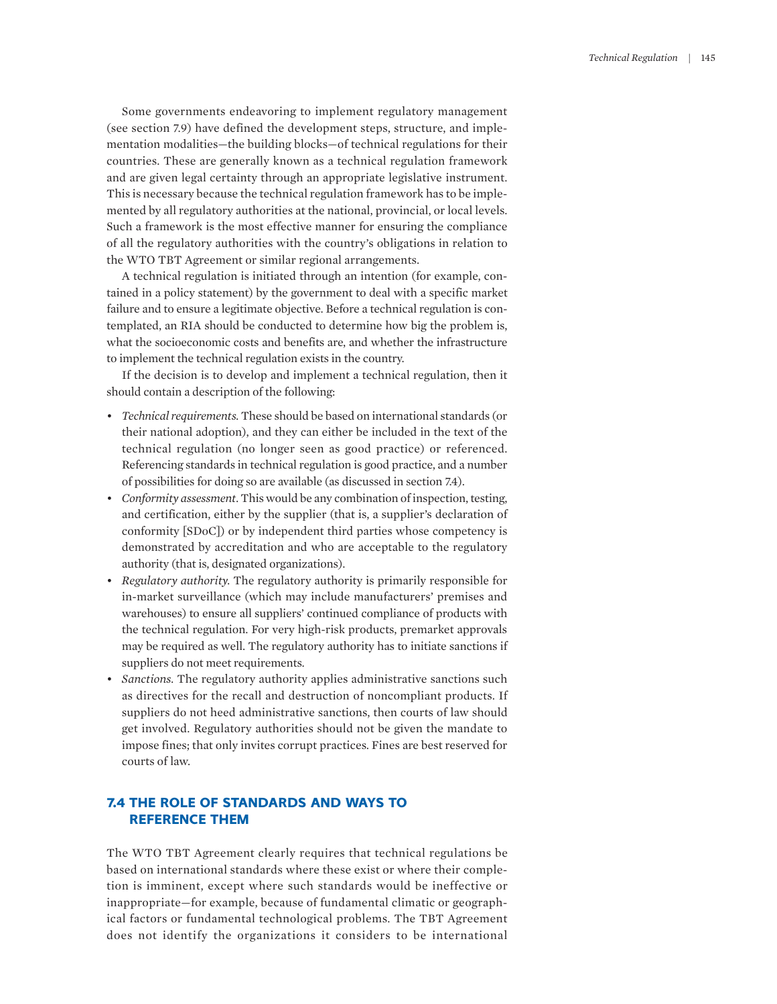Some governments endeavoring to implement regulatory management (see section 7.9) have defined the development steps, structure, and implementation modalities—the building blocks—of technical regulations for their countries. These are generally known as a technical regulation framework and are given legal certainty through an appropriate legislative instrument. This is necessary because the technical regulation framework has to be implemented by all regulatory authorities at the national, provincial, or local levels. Such a framework is the most effective manner for ensuring the compliance of all the regulatory authorities with the country's obligations in relation to the WTO TBT Agreement or similar regional arrangements.

A technical regulation is initiated through an intention (for example, contained in a policy statement) by the government to deal with a specific market failure and to ensure a legitimate objective. Before a technical regulation is contemplated, an RIA should be conducted to determine how big the problem is, what the socioeconomic costs and benefits are, and whether the infrastructure to implement the technical regulation exists in the country.

If the decision is to develop and implement a technical regulation, then it should contain a description of the following:

- *Technical requirements.* These should be based on international standards (or their national adoption), and they can either be included in the text of the technical regulation (no longer seen as good practice) or referenced. Referencing standards in technical regulation is good practice, and a number of possibilities for doing so are available (as discussed in section 7.4).
- *Conformity assessment.* This would be any combination of inspection, testing, and certification, either by the supplier (that is, a supplier's declaration of conformity [SDoC]) or by independent third parties whose competency is demonstrated by accreditation and who are acceptable to the regulatory authority (that is, designated organizations).
- *Regulatory authority.* The regulatory authority is primarily responsible for in-market surveillance (which may include manufacturers' premises and warehouses) to ensure all suppliers' continued compliance of products with the technical regulation. For very high-risk products, premarket approvals may be required as well. The regulatory authority has to initiate sanctions if suppliers do not meet requirements.
- *Sanctions.* The regulatory authority applies administrative sanctions such as directives for the recall and destruction of noncompliant products. If suppliers do not heed administrative sanctions, then courts of law should get involved. Regulatory authorities should not be given the mandate to impose fines; that only invites corrupt practices. Fines are best reserved for courts of law.

# **7.4 THE ROLE OF STANDARDS AND WAYS TO REFERENCE THEM**

The WTO TBT Agreement clearly requires that technical regulations be based on international standards where these exist or where their completion is imminent, except where such standards would be ineffective or inappropriate—for example, because of fundamental climatic or geographical factors or fundamental technological problems. The TBT Agreement does not identify the organizations it considers to be international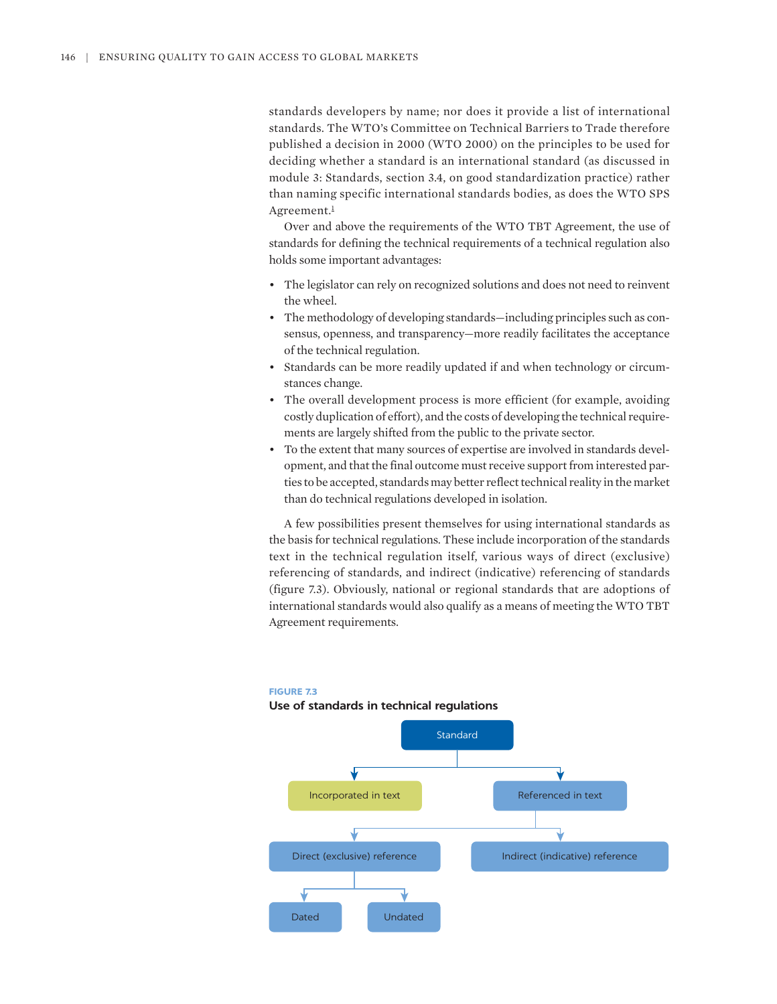standards developers by name; nor does it provide a list of international standards. The WTO's Committee on Technical Barriers to Trade therefore published a decision in 2000 (WTO 2000) on the principles to be used for deciding whether a standard is an international standard (as discussed in module 3: Standards, section 3.4, on good standardization practice) rather than naming specific international standards bodies, as does the WTO SPS Agreement.<sup>1</sup>

<span id="page-5-0"></span>Over and above the requirements of the WTO TBT Agreement, the use of standards for defining the technical requirements of a technical regulation also holds some important advantages:

- The legislator can rely on recognized solutions and does not need to reinvent the wheel.
- The methodology of developing standards—including principles such as consensus, openness, and transparency—more readily facilitates the acceptance of the technical regulation.
- Standards can be more readily updated if and when technology or circumstances change.
- The overall development process is more efficient (for example, avoiding costly duplication of effort), and the costs of developing the technical requirements are largely shifted from the public to the private sector.
- To the extent that many sources of expertise are involved in standards development, and that the final outcome must receive support from interested parties to be accepted, standards may better reflect technical reality in the market than do technical regulations developed in isolation.

A few possibilities present themselves for using international standards as the basis for technical regulations. These include incorporation of the standards text in the technical regulation itself, various ways of direct (exclusive) referencing of standards, and indirect (indicative) referencing of standards (figure 7.3). Obviously, national or regional standards that are adoptions of international standards would also qualify as a means of meeting the WTO TBT Agreement requirements.



#### **FIGURE 7.3**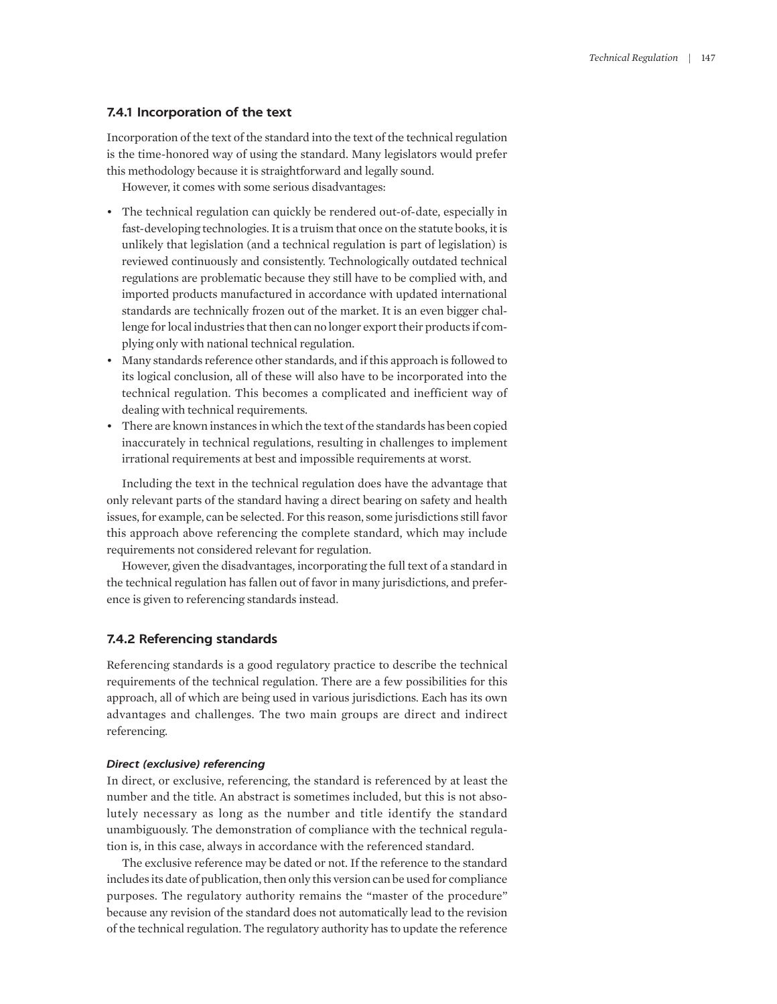## **7.4.1 Incorporation of the text**

Incorporation of the text of the standard into the text of the technical regulation is the time-honored way of using the standard. Many legislators would prefer this methodology because it is straightforward and legally sound.

However, it comes with some serious disadvantages:

- The technical regulation can quickly be rendered out-of-date, especially in fast-developing technologies. It is a truism that once on the statute books, it is unlikely that legislation (and a technical regulation is part of legislation) is reviewed continuously and consistently. Technologically outdated technical regulations are problematic because they still have to be complied with, and imported products manufactured in accordance with updated international standards are technically frozen out of the market. It is an even bigger challenge for local industries that then can no longer export their products if complying only with national technical regulation.
- Many standards reference other standards, and if this approach is followed to its logical conclusion, all of these will also have to be incorporated into the technical regulation. This becomes a complicated and inefficient way of dealing with technical requirements.
- There are known instances in which the text of the standards has been copied inaccurately in technical regulations, resulting in challenges to implement irrational requirements at best and impossible requirements at worst.

Including the text in the technical regulation does have the advantage that only relevant parts of the standard having a direct bearing on safety and health issues, for example, can be selected. For this reason, some jurisdictions still favor this approach above referencing the complete standard, which may include requirements not considered relevant for regulation.

However, given the disadvantages, incorporating the full text of a standard in the technical regulation has fallen out of favor in many jurisdictions, and preference is given to referencing standards instead.

## **7.4.2 Referencing standards**

Referencing standards is a good regulatory practice to describe the technical requirements of the technical regulation. There are a few possibilities for this approach, all of which are being used in various jurisdictions. Each has its own advantages and challenges. The two main groups are direct and indirect referencing.

#### *Direct (exclusive) referencing*

In direct, or exclusive, referencing, the standard is referenced by at least the number and the title. An abstract is sometimes included, but this is not absolutely necessary as long as the number and title identify the standard unambiguously. The demonstration of compliance with the technical regulation is, in this case, always in accordance with the referenced standard.

The exclusive reference may be dated or not. If the reference to the standard includes its date of publication, then only this version can be used for compliance purposes. The regulatory authority remains the "master of the procedure" because any revision of the standard does not automatically lead to the revision of the technical regulation. The regulatory authority has to update the reference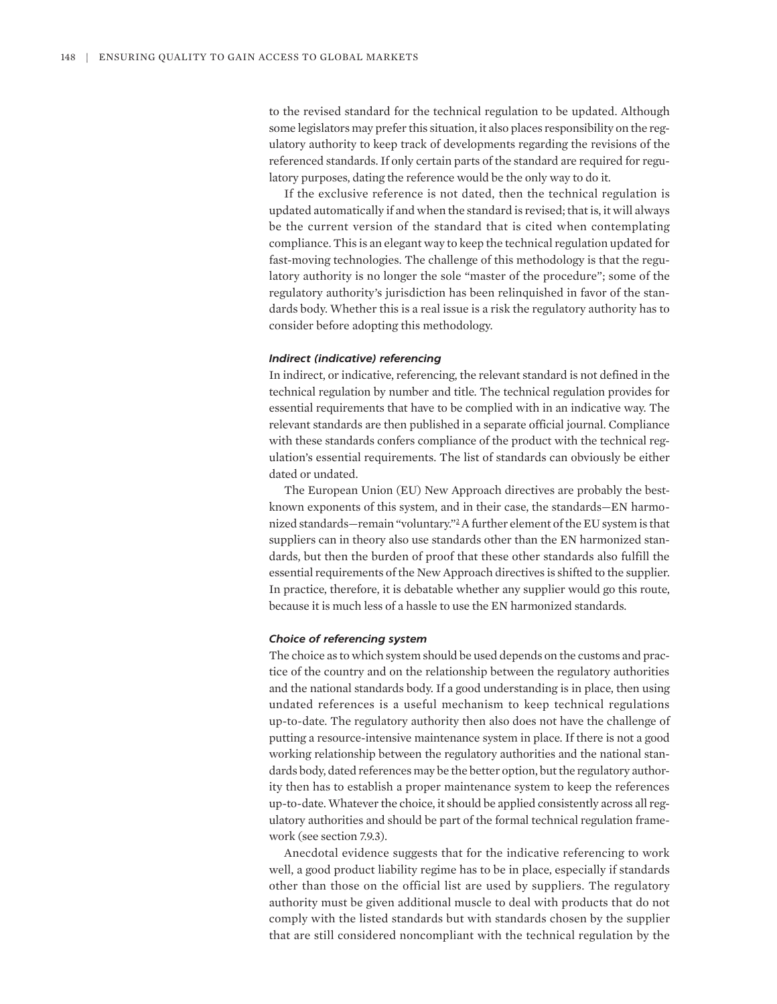to the revised standard for the technical regulation to be updated. Although some legislators may prefer this situation, it also places responsibility on the regulatory authority to keep track of developments regarding the revisions of the referenced standards. If only certain parts of the standard are required for regulatory purposes, dating the reference would be the only way to do it.

If the exclusive reference is not dated, then the technical regulation is updated automatically if and when the standard is revised; that is, it will always be the current version of the standard that is cited when contemplating compliance. This is an elegant way to keep the technical regulation updated for fast-moving technologies. The challenge of this methodology is that the regulatory authority is no longer the sole "master of the procedure"; some of the regulatory authority's jurisdiction has been relinquished in favor of the standards body. Whether this is a real issue is a risk the regulatory authority has to consider before adopting this methodology.

## *Indirect (indicative) referencing*

In indirect, or indicative, referencing, the relevant standard is not defined in the technical regulation by number and title. The technical regulation provides for essential requirements that have to be complied with in an indicative way. The relevant standards are then published in a separate official journal. Compliance with these standards confers compliance of the product with the technical regulation's essential requirements. The list of standards can obviously be either dated or undated.

<span id="page-7-0"></span>The European Union (EU) New Approach directives are probably the bestknown exponents of this system, and in their case, the standards—EN harmonized standards—remain "voluntary.["2](#page-22-0) A further element of the EU system is that suppliers can in theory also use standards other than the EN harmonized standards, but then the burden of proof that these other standards also fulfill the essential requirements of the New Approach directives is shifted to the supplier. In practice, therefore, it is debatable whether any supplier would go this route, because it is much less of a hassle to use the EN harmonized standards.

#### *Choice of referencing system*

The choice as to which system should be used depends on the customs and practice of the country and on the relationship between the regulatory authorities and the national standards body. If a good understanding is in place, then using undated references is a useful mechanism to keep technical regulations up-to-date. The regulatory authority then also does not have the challenge of putting a resource-intensive maintenance system in place. If there is not a good working relationship between the regulatory authorities and the national standards body, dated references may be the better option, but the regulatory authority then has to establish a proper maintenance system to keep the references up-to-date. Whatever the choice, it should be applied consistently across all regulatory authorities and should be part of the formal technical regulation framework (see section 7.9.3).

Anecdotal evidence suggests that for the indicative referencing to work well, a good product liability regime has to be in place, especially if standards other than those on the official list are used by suppliers. The regulatory authority must be given additional muscle to deal with products that do not comply with the listed standards but with standards chosen by the supplier that are still considered noncompliant with the technical regulation by the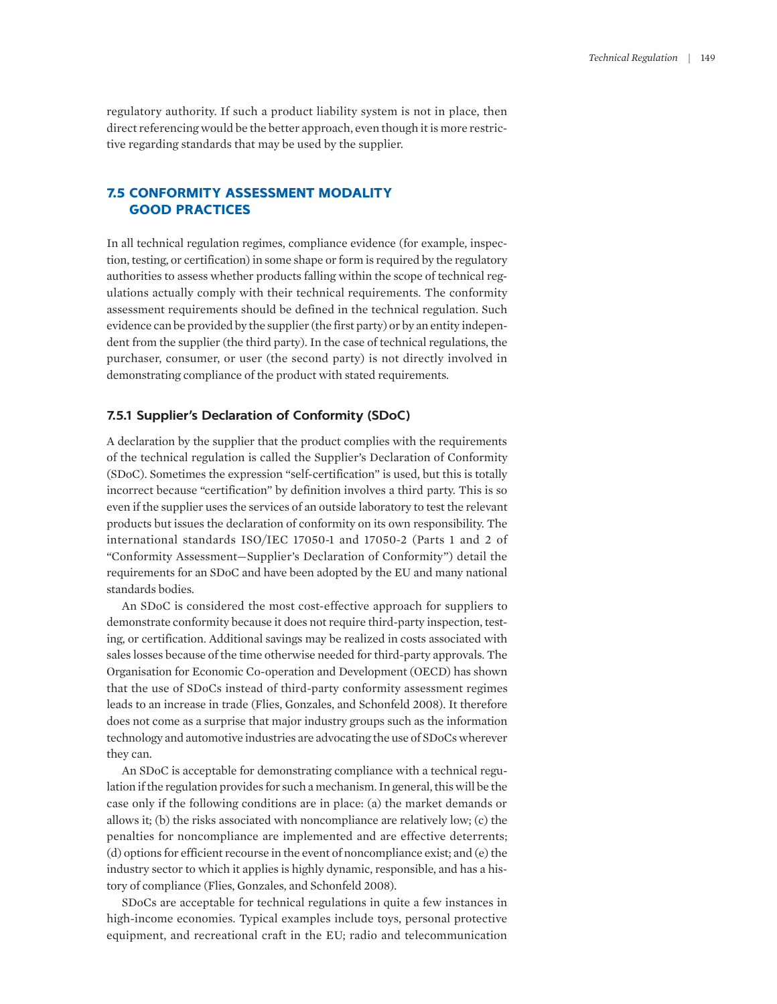regulatory authority. If such a product liability system is not in place, then direct referencing would be the better approach, even though it is more restrictive regarding standards that may be used by the supplier.

# **7.5 CONFORMITY ASSESSMENT MODALITY GOOD PRACTICES**

In all technical regulation regimes, compliance evidence (for example, inspection, testing, or certification) in some shape or form is required by the regulatory authorities to assess whether products falling within the scope of technical regulations actually comply with their technical requirements. The conformity assessment requirements should be defined in the technical regulation. Such evidence can be provided by the supplier (the first party) or by an entity independent from the supplier (the third party). In the case of technical regulations, the purchaser, consumer, or user (the second party) is not directly involved in demonstrating compliance of the product with stated requirements.

## **7.5.1 Supplier's Declaration of Conformity (SDoC)**

A declaration by the supplier that the product complies with the requirements of the technical regulation is called the Supplier's Declaration of Conformity (SDoC). Sometimes the expression "self-certification" is used, but this is totally incorrect because "certification" by definition involves a third party. This is so even if the supplier uses the services of an outside laboratory to test the relevant products but issues the declaration of conformity on its own responsibility. The international standards ISO/IEC 17050-1 and 17050-2 (Parts 1 and 2 of "Conformity Assessment—Supplier's Declaration of Conformity") detail the requirements for an SDoC and have been adopted by the EU and many national standards bodies.

An SDoC is considered the most cost-effective approach for suppliers to demonstrate conformity because it does not require third-party inspection, testing, or certification. Additional savings may be realized in costs associated with sales losses because of the time otherwise needed for third-party approvals. The Organisation for Economic Co-operation and Development (OECD) has shown that the use of SDoCs instead of third-party conformity assessment regimes leads to an increase in trade (Flies, Gonzales, and Schonfeld 2008). It therefore does not come as a surprise that major industry groups such as the information technology and automotive industries are advocating the use of SDoCs wherever they can.

An SDoC is acceptable for demonstrating compliance with a technical regulation if the regulation provides for such a mechanism. In general, this will be the case only if the following conditions are in place: (a) the market demands or allows it; (b) the risks associated with noncompliance are relatively low; (c) the penalties for noncompliance are implemented and are effective deterrents; (d) options for efficient recourse in the event of noncompliance exist; and (e) the industry sector to which it applies is highly dynamic, responsible, and has a history of compliance (Flies, Gonzales, and Schonfeld 2008).

SDoCs are acceptable for technical regulations in quite a few instances in high-income economies. Typical examples include toys, personal protective equipment, and recreational craft in the EU; radio and telecommunication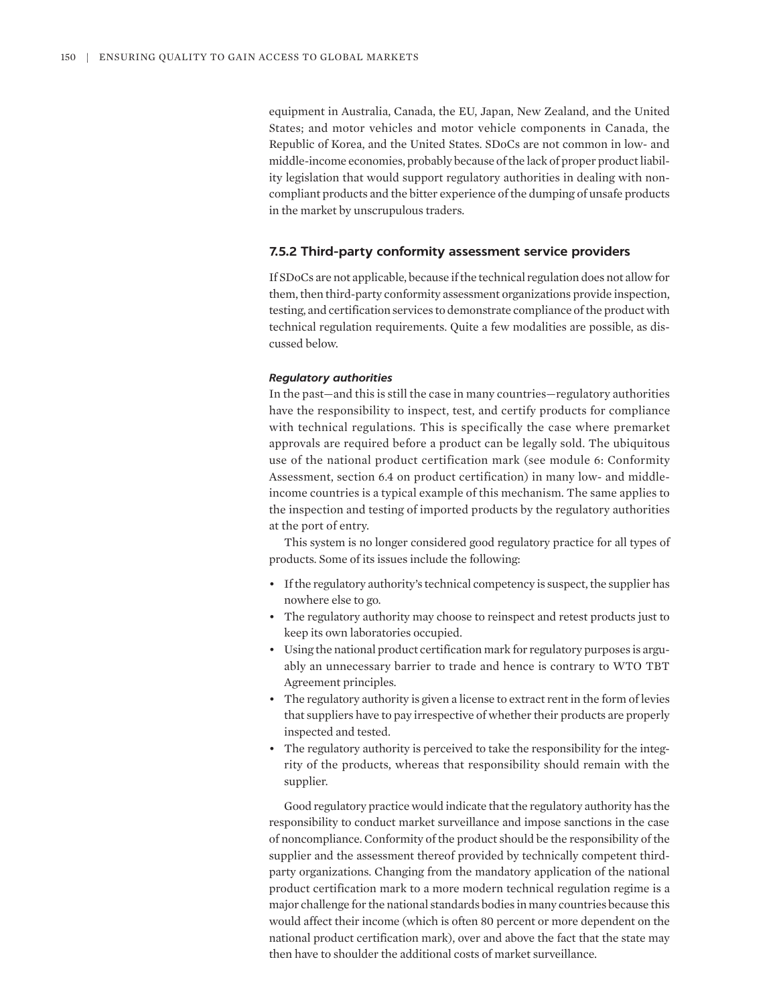equipment in Australia, Canada, the EU, Japan, New Zealand, and the United States; and motor vehicles and motor vehicle components in Canada, the Republic of Korea, and the United States. SDoCs are not common in low- and middle-income economies, probably because of the lack of proper product liability legislation that would support regulatory authorities in dealing with noncompliant products and the bitter experience of the dumping of unsafe products in the market by unscrupulous traders.

## **7.5.2 Third-party conformity assessment service providers**

If SDoCs are not applicable, because if the technical regulation does not allow for them, then third-party conformity assessment organizations provide inspection, testing, and certification services to demonstrate compliance of the product with technical regulation requirements. Quite a few modalities are possible, as discussed below.

#### *Regulatory authorities*

In the past—and this is still the case in many countries—regulatory authorities have the responsibility to inspect, test, and certify products for compliance with technical regulations. This is specifically the case where premarket approvals are required before a product can be legally sold. The ubiquitous use of the national product certification mark (see module 6: Conformity Assessment, section 6.4 on product certification) in many low- and middleincome countries is a typical example of this mechanism. The same applies to the inspection and testing of imported products by the regulatory authorities at the port of entry.

This system is no longer considered good regulatory practice for all types of products. Some of its issues include the following:

- If the regulatory authority's technical competency is suspect, the supplier has nowhere else to go.
- The regulatory authority may choose to reinspect and retest products just to keep its own laboratories occupied.
- Using the national product certification mark for regulatory purposes is arguably an unnecessary barrier to trade and hence is contrary to WTO TBT Agreement principles.
- The regulatory authority is given a license to extract rent in the form of levies that suppliers have to pay irrespective of whether their products are properly inspected and tested.
- The regulatory authority is perceived to take the responsibility for the integrity of the products, whereas that responsibility should remain with the supplier.

Good regulatory practice would indicate that the regulatory authority has the responsibility to conduct market surveillance and impose sanctions in the case of noncompliance. Conformity of the product should be the responsibility of the supplier and the assessment thereof provided by technically competent thirdparty organizations. Changing from the mandatory application of the national product certification mark to a more modern technical regulation regime is a major challenge for the national standards bodies in many countries because this would affect their income (which is often 80 percent or more dependent on the national product certification mark), over and above the fact that the state may then have to shoulder the additional costs of market surveillance.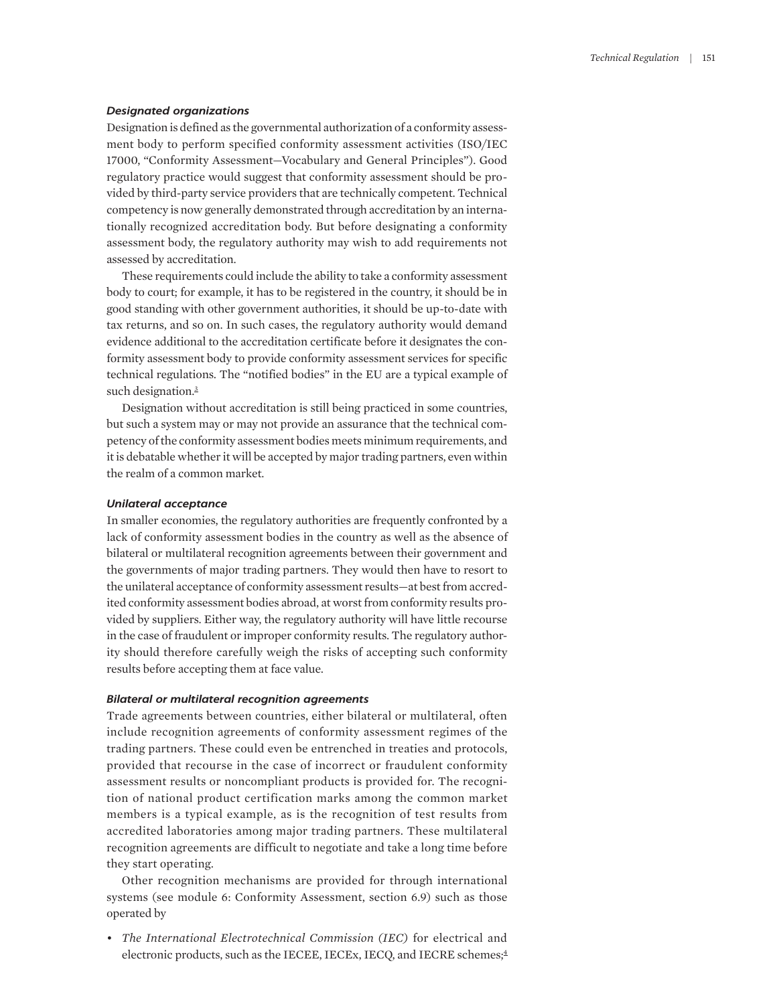#### *Designated organizations*

Designation is defined as the governmental authorization of a conformity assessment body to perform specified conformity assessment activities (ISO/IEC 17000, "Conformity Assessment—Vocabulary and General Principles"). Good regulatory practice would suggest that conformity assessment should be provided by third-party service providers that are technically competent. Technical competency is now generally demonstrated through accreditation by an internationally recognized accreditation body. But before designating a conformity assessment body, the regulatory authority may wish to add requirements not assessed by accreditation.

These requirements could include the ability to take a conformity assessment body to court; for example, it has to be registered in the country, it should be in good standing with other government authorities, it should be up-to-date with tax returns, and so on. In such cases, the regulatory authority would demand evidence additional to the accreditation certificate before it designates the conformity assessment body to provide conformity assessment services for specific technical regulations. The "notified bodies" in the EU are a typical example of such designation.<sup>3</sup>

<span id="page-10-0"></span>Designation without accreditation is still being practiced in some countries, but such a system may or may not provide an assurance that the technical competency of the conformity assessment bodies meets minimum requirements, and it is debatable whether it will be accepted by major trading partners, even within the realm of a common market.

## *Unilateral acceptance*

In smaller economies, the regulatory authorities are frequently confronted by a lack of conformity assessment bodies in the country as well as the absence of bilateral or multilateral recognition agreements between their government and the governments of major trading partners. They would then have to resort to the unilateral acceptance of conformity assessment results—at best from accredited conformity assessment bodies abroad, at worst from conformity results provided by suppliers. Either way, the regulatory authority will have little recourse in the case of fraudulent or improper conformity results. The regulatory authority should therefore carefully weigh the risks of accepting such conformity results before accepting them at face value.

#### *Bilateral or multilateral recognition agreements*

Trade agreements between countries, either bilateral or multilateral, often include recognition agreements of conformity assessment regimes of the trading partners. These could even be entrenched in treaties and protocols, provided that recourse in the case of incorrect or fraudulent conformity assessment results or noncompliant products is provided for. The recognition of national product certification marks among the common market members is a typical example, as is the recognition of test results from accredited laboratories among major trading partners. These multilateral recognition agreements are difficult to negotiate and take a long time before they start operating.

Other recognition mechanisms are provided for through international systems (see module 6: Conformity Assessment, section 6.9) such as those operated by

<span id="page-10-1"></span>• *The International Electrotechnical Commission (IEC)* for electrical and electronic products, such as the IECEE, IECEx, IECQ, and IECRE schemes;<sup>4</sup>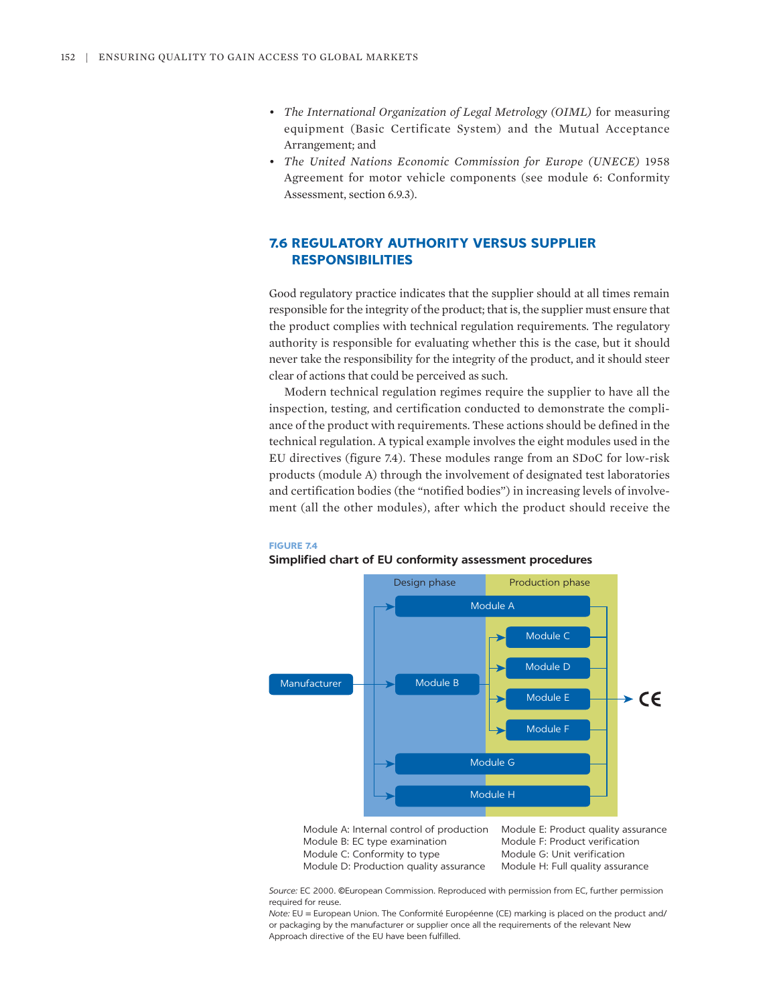- *The International Organization of Legal Metrology (OIML)* for measuring equipment (Basic Certificate System) and the Mutual Acceptance Arrangement; and
- *The United Nations Economic Commission for Europe (UNECE)* 1958 Agreement for motor vehicle components (see module 6: Conformity Assessment, section 6.9.3).

# **7.6 REGULATORY AUTHORITY VERSUS SUPPLIER RESPONSIBILITIES**

Good regulatory practice indicates that the supplier should at all times remain responsible for the integrity of the product; that is, the supplier must ensure that the product complies with technical regulation requirements. The regulatory authority is responsible for evaluating whether this is the case, but it should never take the responsibility for the integrity of the product, and it should steer clear of actions that could be perceived as such.

Modern technical regulation regimes require the supplier to have all the inspection, testing, and certification conducted to demonstrate the compliance of the product with requirements. These actions should be defined in the technical regulation. A typical example involves the eight modules used in the EU directives (figure 7.4). These modules range from an SDoC for low-risk products (module A) through the involvement of designated test laboratories and certification bodies (the "notified bodies") in increasing levels of involvement (all the other modules), after which the product should receive the

#### **FIGURE 7.4**



#### **Simplified chart of EU conformity assessment procedures**

Module A: Internal control of production Module B: EC type examination Module C: Conformity to type Module D: Production quality assurance

Module E: Product quality assurance Module F: Product verification Module G: Unit verification Module H: Full quality assurance

*Source:* EC 2000. ©European Commission. Reproduced with permission from EC, further permission required for reuse.

*Note:* EU = European Union. The Conformité Européenne (CE) marking is placed on the product and/ or packaging by the manufacturer or supplier once all the requirements of the relevant New Approach directive of the EU have been fulfilled.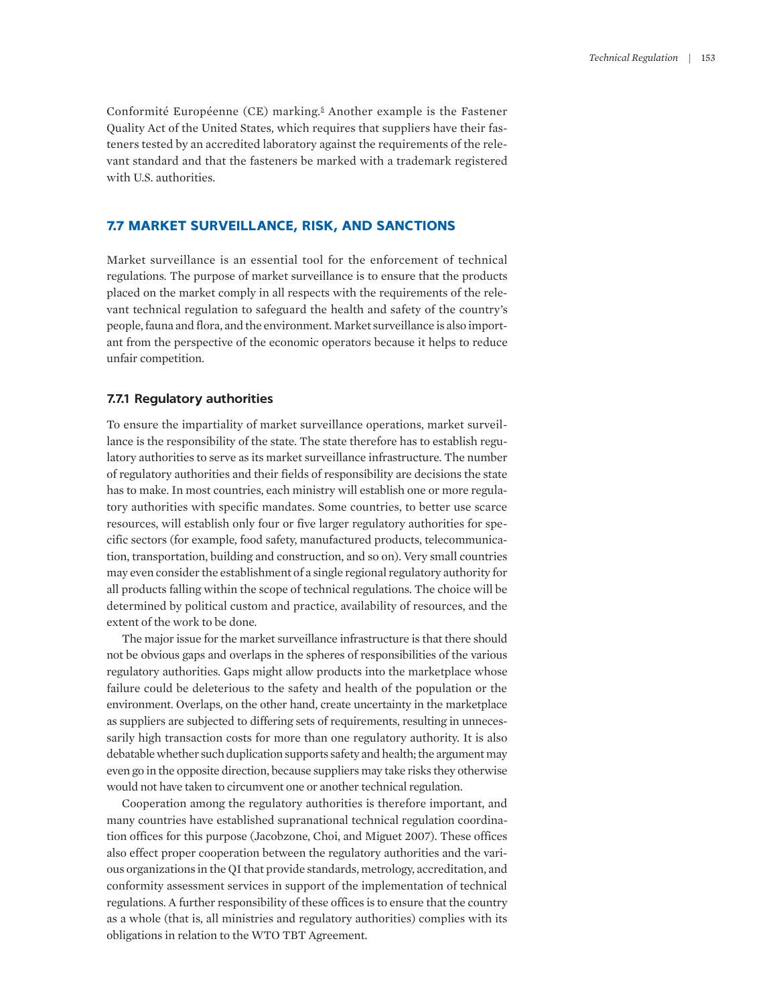<span id="page-12-0"></span>Conformité Européenne (CE) marking.<sup>[5](#page-22-3)</sup> Another example is the Fastener Quality Act of the United States, which requires that suppliers have their fasteners tested by an accredited laboratory against the requirements of the relevant standard and that the fasteners be marked with a trademark registered with U.S. authorities.

## **7.7 MARKET SURVEILLANCE, RISK, AND SANCTIONS**

Market surveillance is an essential tool for the enforcement of technical regulations. The purpose of market surveillance is to ensure that the products placed on the market comply in all respects with the requirements of the relevant technical regulation to safeguard the health and safety of the country's people, fauna and flora, and the environment. Market surveillance is also important from the perspective of the economic operators because it helps to reduce unfair competition.

# **7.7.1 Regulatory authorities**

To ensure the impartiality of market surveillance operations, market surveillance is the responsibility of the state. The state therefore has to establish regulatory authorities to serve as its market surveillance infrastructure. The number of regulatory authorities and their fields of responsibility are decisions the state has to make. In most countries, each ministry will establish one or more regulatory authorities with specific mandates. Some countries, to better use scarce resources, will establish only four or five larger regulatory authorities for specific sectors (for example, food safety, manufactured products, telecommunication, transportation, building and construction, and so on). Very small countries may even consider the establishment of a single regional regulatory authority for all products falling within the scope of technical regulations. The choice will be determined by political custom and practice, availability of resources, and the extent of the work to be done.

The major issue for the market surveillance infrastructure is that there should not be obvious gaps and overlaps in the spheres of responsibilities of the various regulatory authorities. Gaps might allow products into the marketplace whose failure could be deleterious to the safety and health of the population or the environment. Overlaps, on the other hand, create uncertainty in the marketplace as suppliers are subjected to differing sets of requirements, resulting in unnecessarily high transaction costs for more than one regulatory authority. It is also debatable whether such duplication supports safety and health; the argument may even go in the opposite direction, because suppliers may take risks they otherwise would not have taken to circumvent one or another technical regulation.

Cooperation among the regulatory authorities is therefore important, and many countries have established supranational technical regulation coordination offices for this purpose (Jacobzone, Choi, and Miguet 2007). These offices also effect proper cooperation between the regulatory authorities and the various organizations in the QI that provide standards, metrology, accreditation, and conformity assessment services in support of the implementation of technical regulations. A further responsibility of these offices is to ensure that the country as a whole (that is, all ministries and regulatory authorities) complies with its obligations in relation to the WTO TBT Agreement.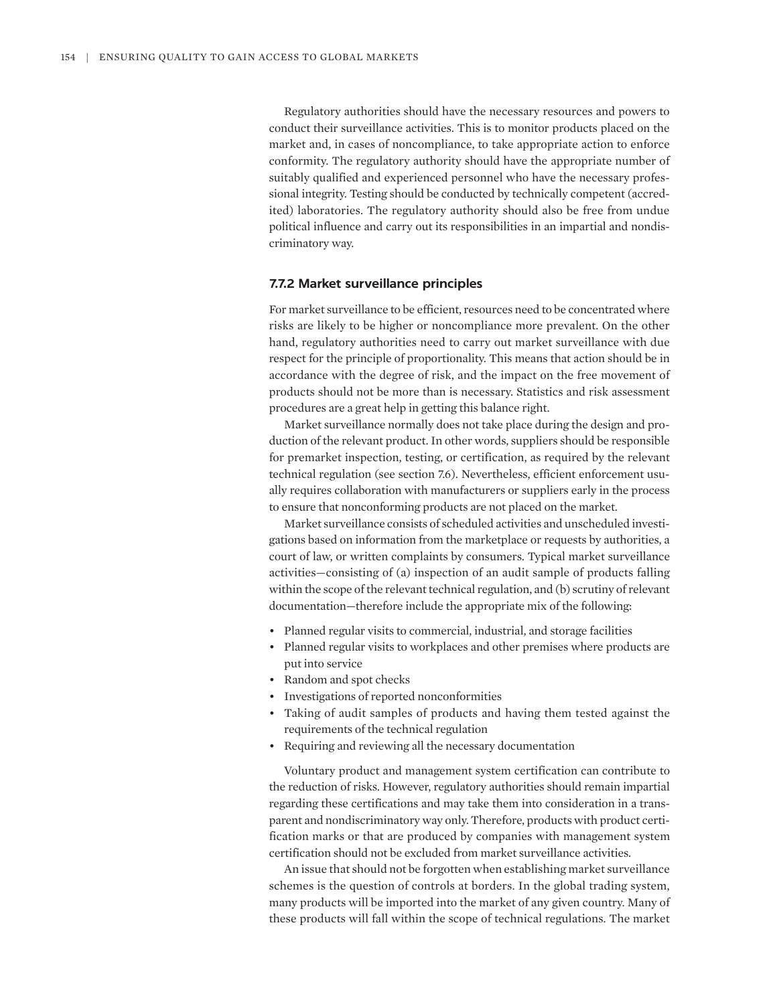Regulatory authorities should have the necessary resources and powers to conduct their surveillance activities. This is to monitor products placed on the market and, in cases of noncompliance, to take appropriate action to enforce conformity. The regulatory authority should have the appropriate number of suitably qualified and experienced personnel who have the necessary professional integrity. Testing should be conducted by technically competent (accredited) laboratories. The regulatory authority should also be free from undue political influence and carry out its responsibilities in an impartial and nondiscriminatory way.

#### **7.7.2 Market surveillance principles**

For market surveillance to be efficient, resources need to be concentrated where risks are likely to be higher or noncompliance more prevalent. On the other hand, regulatory authorities need to carry out market surveillance with due respect for the principle of proportionality. This means that action should be in accordance with the degree of risk, and the impact on the free movement of products should not be more than is necessary. Statistics and risk assessment procedures are a great help in getting this balance right.

Market surveillance normally does not take place during the design and production of the relevant product. In other words, suppliers should be responsible for premarket inspection, testing, or certification, as required by the relevant technical regulation (see section 7.6). Nevertheless, efficient enforcement usually requires collaboration with manufacturers or suppliers early in the process to ensure that nonconforming products are not placed on the market.

Market surveillance consists of scheduled activities and unscheduled investigations based on information from the marketplace or requests by authorities, a court of law, or written complaints by consumers. Typical market surveillance activities—consisting of (a) inspection of an audit sample of products falling within the scope of the relevant technical regulation, and (b) scrutiny of relevant documentation—therefore include the appropriate mix of the following:

- Planned regular visits to commercial, industrial, and storage facilities
- Planned regular visits to workplaces and other premises where products are put into service
- Random and spot checks
- Investigations of reported nonconformities
- Taking of audit samples of products and having them tested against the requirements of the technical regulation
- Requiring and reviewing all the necessary documentation

Voluntary product and management system certification can contribute to the reduction of risks. However, regulatory authorities should remain impartial regarding these certifications and may take them into consideration in a transparent and nondiscriminatory way only. Therefore, products with product certification marks or that are produced by companies with management system certification should not be excluded from market surveillance activities.

An issue that should not be forgotten when establishing market surveillance schemes is the question of controls at borders. In the global trading system, many products will be imported into the market of any given country. Many of these products will fall within the scope of technical regulations. The market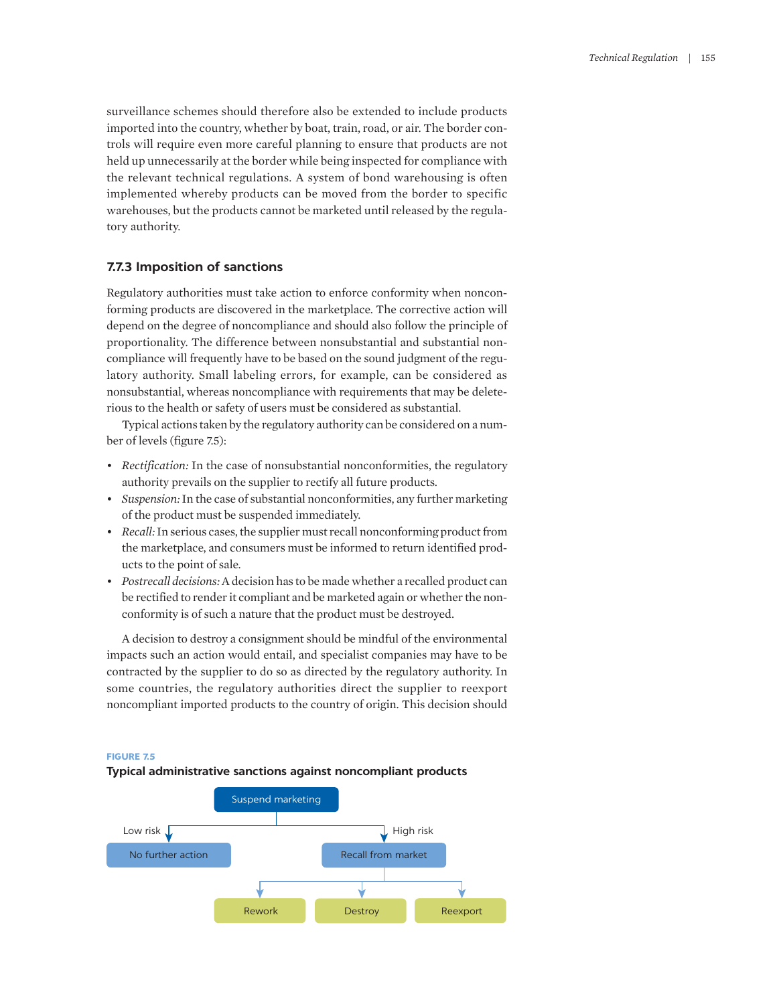surveillance schemes should therefore also be extended to include products imported into the country, whether by boat, train, road, or air. The border controls will require even more careful planning to ensure that products are not held up unnecessarily at the border while being inspected for compliance with the relevant technical regulations. A system of bond warehousing is often implemented whereby products can be moved from the border to specific warehouses, but the products cannot be marketed until released by the regulatory authority.

# **7.7.3 Imposition of sanctions**

Regulatory authorities must take action to enforce conformity when nonconforming products are discovered in the marketplace. The corrective action will depend on the degree of noncompliance and should also follow the principle of proportionality. The difference between nonsubstantial and substantial noncompliance will frequently have to be based on the sound judgment of the regulatory authority. Small labeling errors, for example, can be considered as nonsubstantial, whereas noncompliance with requirements that may be deleterious to the health or safety of users must be considered as substantial.

Typical actions taken by the regulatory authority can be considered on a number of levels (figure 7.5):

- *Rectification:* In the case of nonsubstantial nonconformities, the regulatory authority prevails on the supplier to rectify all future products.
- *Suspension:* In the case of substantial nonconformities, any further marketing of the product must be suspended immediately.
- *Recall:* In serious cases, the supplier must recall nonconforming product from the marketplace, and consumers must be informed to return identified products to the point of sale.
- *Postrecall decisions:* A decision has to be made whether a recalled product can be rectified to render it compliant and be marketed again or whether the nonconformity is of such a nature that the product must be destroyed.

A decision to destroy a consignment should be mindful of the environmental impacts such an action would entail, and specialist companies may have to be contracted by the supplier to do so as directed by the regulatory authority. In some countries, the regulatory authorities direct the supplier to reexport noncompliant imported products to the country of origin. This decision should

#### **FIGURE 7.5**



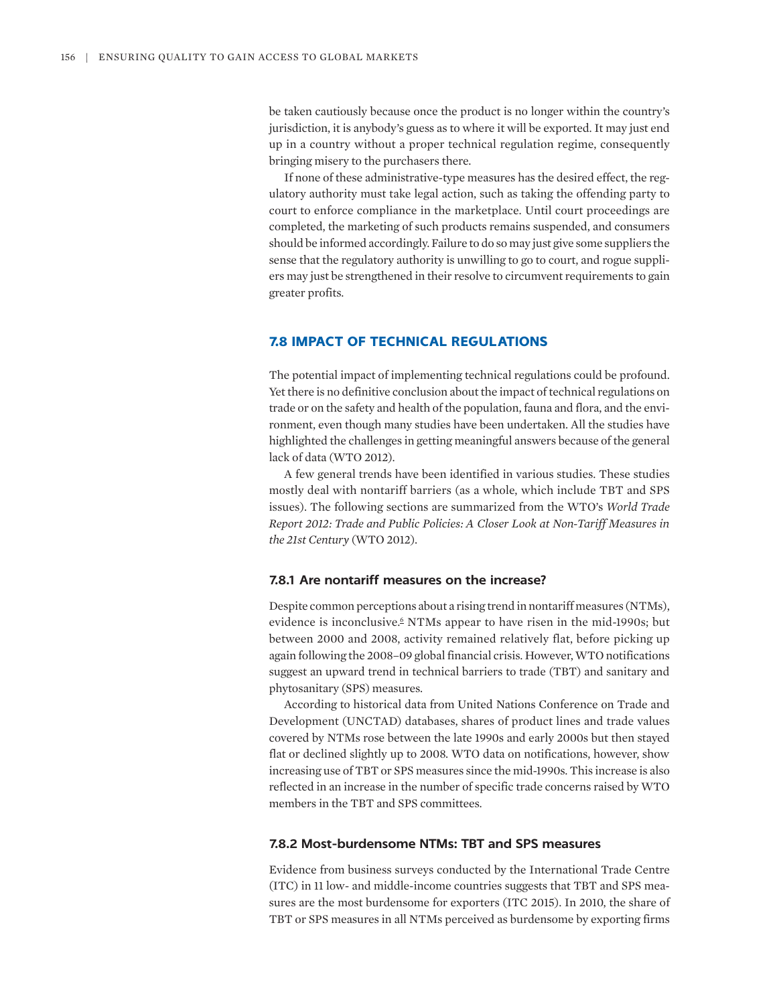be taken cautiously because once the product is no longer within the country's jurisdiction, it is anybody's guess as to where it will be exported. It may just end up in a country without a proper technical regulation regime, consequently bringing misery to the purchasers there.

If none of these administrative-type measures has the desired effect, the regulatory authority must take legal action, such as taking the offending party to court to enforce compliance in the marketplace. Until court proceedings are completed, the marketing of such products remains suspended, and consumers should be informed accordingly. Failure to do so may just give some suppliers the sense that the regulatory authority is unwilling to go to court, and rogue suppliers may just be strengthened in their resolve to circumvent requirements to gain greater profits.

# **7.8 IMPACT OF TECHNICAL REGULATIONS**

The potential impact of implementing technical regulations could be profound. Yet there is no definitive conclusion about the impact of technical regulations on trade or on the safety and health of the population, fauna and flora, and the environment, even though many studies have been undertaken. All the studies have highlighted the challenges in getting meaningful answers because of the general lack of data (WTO 2012).

A few general trends have been identified in various studies. These studies mostly deal with nontariff barriers (as a whole, which include TBT and SPS issues). The following sections are summarized from the WTO's *World Trade Report 2012: Trade and Public Policies: A Closer Look at Non-Tariff Measures in the 21st Century* (WTO 2012).

## **7.8.1 Are nontariff measures on the increase?**

<span id="page-15-0"></span>Despite common perceptions about a rising trend in nontariff measures (NTMs), evidence is inconclusive.<sup>[6](#page-22-4)</sup> NTMs appear to have risen in the mid-1990s; but between 2000 and 2008, activity remained relatively flat, before picking up again following the 2008–09 global financial crisis. However, WTO notifications suggest an upward trend in technical barriers to trade (TBT) and sanitary and phytosanitary (SPS) measures.

According to historical data from United Nations Conference on Trade and Development (UNCTAD) databases, shares of product lines and trade values covered by NTMs rose between the late 1990s and early 2000s but then stayed flat or declined slightly up to 2008. WTO data on notifications, however, show increasing use of TBT or SPS measures since the mid-1990s. This increase is also reflected in an increase in the number of specific trade concerns raised by WTO members in the TBT and SPS committees.

## **7.8.2 Most-burdensome NTMs: TBT and SPS measures**

Evidence from business surveys conducted by the International Trade Centre (ITC) in 11 low- and middle-income countries suggests that TBT and SPS measures are the most burdensome for exporters (ITC 2015). In 2010, the share of TBT or SPS measures in all NTMs perceived as burdensome by exporting firms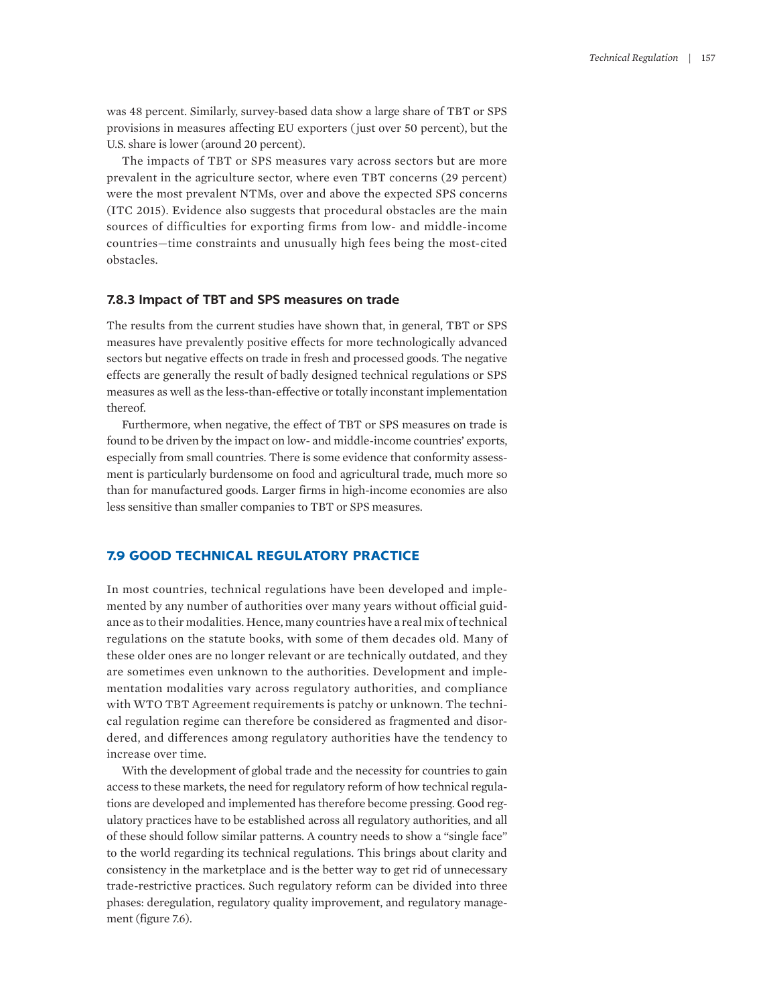was 48 percent. Similarly, survey-based data show a large share of TBT or SPS provisions in measures affecting EU exporters ( just over 50 percent), but the U.S. share is lower (around 20 percent).

The impacts of TBT or SPS measures vary across sectors but are more prevalent in the agriculture sector, where even TBT concerns (29 percent) were the most prevalent NTMs, over and above the expected SPS concerns (ITC 2015). Evidence also suggests that procedural obstacles are the main sources of difficulties for exporting firms from low- and middle-income countries—time constraints and unusually high fees being the most-cited obstacles.

#### **7.8.3 Impact of TBT and SPS measures on trade**

The results from the current studies have shown that, in general, TBT or SPS measures have prevalently positive effects for more technologically advanced sectors but negative effects on trade in fresh and processed goods. The negative effects are generally the result of badly designed technical regulations or SPS measures as well as the less-than-effective or totally inconstant implementation thereof.

Furthermore, when negative, the effect of TBT or SPS measures on trade is found to be driven by the impact on low- and middle-income countries' exports, especially from small countries. There is some evidence that conformity assessment is particularly burdensome on food and agricultural trade, much more so than for manufactured goods. Larger firms in high-income economies are also less sensitive than smaller companies to TBT or SPS measures.

# **7.9 GOOD TECHNICAL REGULATORY PRACTICE**

In most countries, technical regulations have been developed and implemented by any number of authorities over many years without official guidance as to their modalities. Hence, many countries have a real mix of technical regulations on the statute books, with some of them decades old. Many of these older ones are no longer relevant or are technically outdated, and they are sometimes even unknown to the authorities. Development and implementation modalities vary across regulatory authorities, and compliance with WTO TBT Agreement requirements is patchy or unknown. The technical regulation regime can therefore be considered as fragmented and disordered, and differences among regulatory authorities have the tendency to increase over time.

With the development of global trade and the necessity for countries to gain access to these markets, the need for regulatory reform of how technical regulations are developed and implemented has therefore become pressing. Good regulatory practices have to be established across all regulatory authorities, and all of these should follow similar patterns. A country needs to show a "single face" to the world regarding its technical regulations. This brings about clarity and consistency in the marketplace and is the better way to get rid of unnecessary trade-restrictive practices. Such regulatory reform can be divided into three phases: deregulation, regulatory quality improvement, and regulatory management (figure 7.6).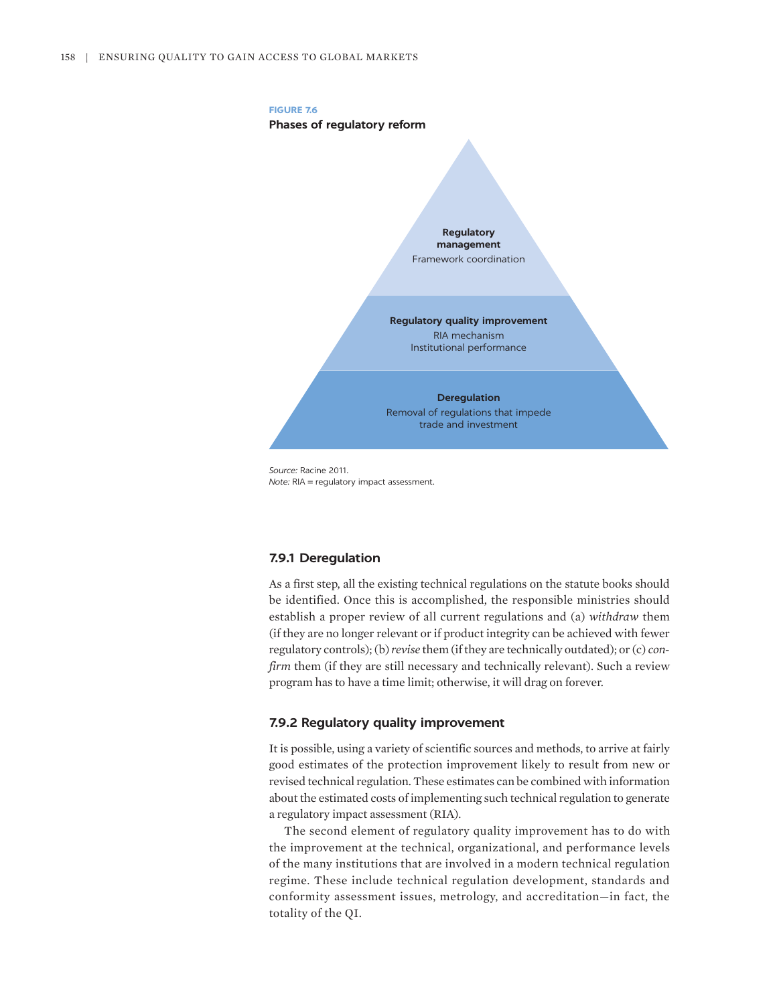

*Source:* Racine 2011. *Note:* RIA = regulatory impact assessment.

## **7.9.1 Deregulation**

As a first step, all the existing technical regulations on the statute books should be identified. Once this is accomplished, the responsible ministries should establish a proper review of all current regulations and (a) *withdraw* them (if they are no longer relevant or if product integrity can be achieved with fewer regulatory controls); (b) *revise* them (if they are technically outdated); or (c) *confirm* them (if they are still necessary and technically relevant). Such a review program has to have a time limit; otherwise, it will drag on forever.

## **7.9.2 Regulatory quality improvement**

It is possible, using a variety of scientific sources and methods, to arrive at fairly good estimates of the protection improvement likely to result from new or revised technical regulation. These estimates can be combined with information about the estimated costs of implementing such technical regulation to generate a regulatory impact assessment (RIA).

The second element of regulatory quality improvement has to do with the improvement at the technical, organizational, and performance levels of the many institutions that are involved in a modern technical regulation regime. These include technical regulation development, standards and conformity assessment issues, metrology, and accreditation—in fact, the totality of the QI.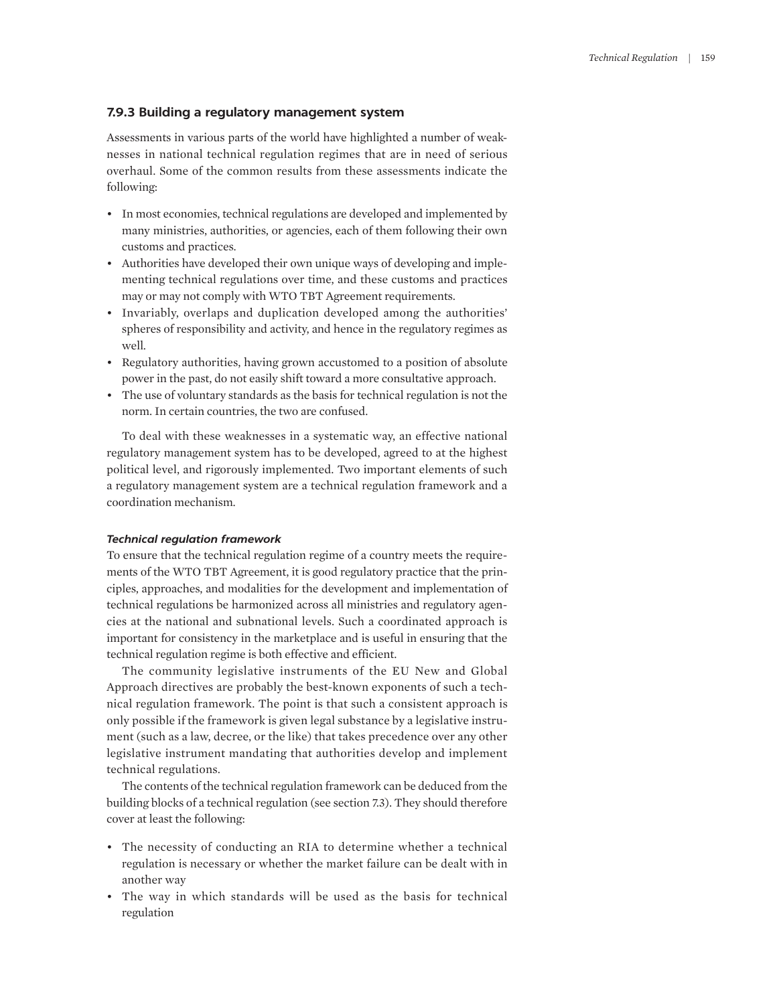#### **7.9.3 Building a regulatory management system**

Assessments in various parts of the world have highlighted a number of weaknesses in national technical regulation regimes that are in need of serious overhaul. Some of the common results from these assessments indicate the following:

- In most economies, technical regulations are developed and implemented by many ministries, authorities, or agencies, each of them following their own customs and practices.
- Authorities have developed their own unique ways of developing and implementing technical regulations over time, and these customs and practices may or may not comply with WTO TBT Agreement requirements.
- Invariably, overlaps and duplication developed among the authorities' spheres of responsibility and activity, and hence in the regulatory regimes as well.
- Regulatory authorities, having grown accustomed to a position of absolute power in the past, do not easily shift toward a more consultative approach.
- The use of voluntary standards as the basis for technical regulation is not the norm. In certain countries, the two are confused.

To deal with these weaknesses in a systematic way, an effective national regulatory management system has to be developed, agreed to at the highest political level, and rigorously implemented. Two important elements of such a regulatory management system are a technical regulation framework and a coordination mechanism.

#### *Technical regulation framework*

To ensure that the technical regulation regime of a country meets the requirements of the WTO TBT Agreement, it is good regulatory practice that the principles, approaches, and modalities for the development and implementation of technical regulations be harmonized across all ministries and regulatory agencies at the national and subnational levels. Such a coordinated approach is important for consistency in the marketplace and is useful in ensuring that the technical regulation regime is both effective and efficient.

The community legislative instruments of the EU New and Global Approach directives are probably the best-known exponents of such a technical regulation framework. The point is that such a consistent approach is only possible if the framework is given legal substance by a legislative instrument (such as a law, decree, or the like) that takes precedence over any other legislative instrument mandating that authorities develop and implement technical regulations.

The contents of the technical regulation framework can be deduced from the building blocks of a technical regulation (see section 7.3). They should therefore cover at least the following:

- The necessity of conducting an RIA to determine whether a technical regulation is necessary or whether the market failure can be dealt with in another way
- The way in which standards will be used as the basis for technical regulation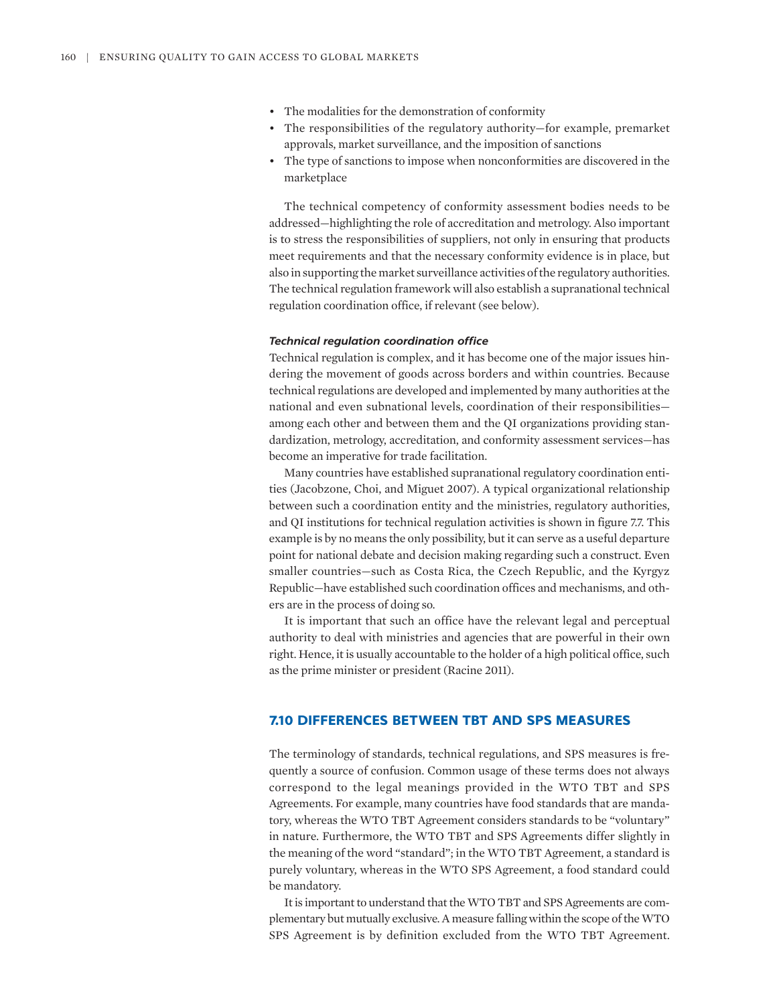- The modalities for the demonstration of conformity
- The responsibilities of the regulatory authority—for example, premarket approvals, market surveillance, and the imposition of sanctions
- The type of sanctions to impose when nonconformities are discovered in the marketplace

The technical competency of conformity assessment bodies needs to be addressed—highlighting the role of accreditation and metrology. Also important is to stress the responsibilities of suppliers, not only in ensuring that products meet requirements and that the necessary conformity evidence is in place, but also in supporting the market surveillance activities of the regulatory authorities. The technical regulation framework will also establish a supranational technical regulation coordination office, if relevant (see below).

#### *Technical regulation coordination office*

Technical regulation is complex, and it has become one of the major issues hindering the movement of goods across borders and within countries. Because technical regulations are developed and implemented by many authorities at the national and even subnational levels, coordination of their responsibilities among each other and between them and the QI organizations providing standardization, metrology, accreditation, and conformity assessment services—has become an imperative for trade facilitation.

Many countries have established supranational regulatory coordination entities (Jacobzone, Choi, and Miguet 2007). A typical organizational relationship between such a coordination entity and the ministries, regulatory authorities, and QI institutions for technical regulation activities is shown in figure 7.7. This example is by no means the only possibility, but it can serve as a useful departure point for national debate and decision making regarding such a construct. Even smaller countries—such as Costa Rica, the Czech Republic, and the Kyrgyz Republic—have established such coordination offices and mechanisms, and others are in the process of doing so.

It is important that such an office have the relevant legal and perceptual authority to deal with ministries and agencies that are powerful in their own right. Hence, it is usually accountable to the holder of a high political office, such as the prime minister or president (Racine 2011).

## **7.10 DIFFERENCES BETWEEN TBT AND SPS MEASURES**

The terminology of standards, technical regulations, and SPS measures is frequently a source of confusion. Common usage of these terms does not always correspond to the legal meanings provided in the WTO TBT and SPS Agreements. For example, many countries have food standards that are mandatory, whereas the WTO TBT Agreement considers standards to be "voluntary" in nature. Furthermore, the WTO TBT and SPS Agreements differ slightly in the meaning of the word "standard"; in the WTO TBT Agreement, a standard is purely voluntary, whereas in the WTO SPS Agreement, a food standard could be mandatory.

It is important to understand that the WTO TBT and SPS Agreements are complementary but mutually exclusive. A measure falling within the scope of the WTO SPS Agreement is by definition excluded from the WTO TBT Agreement.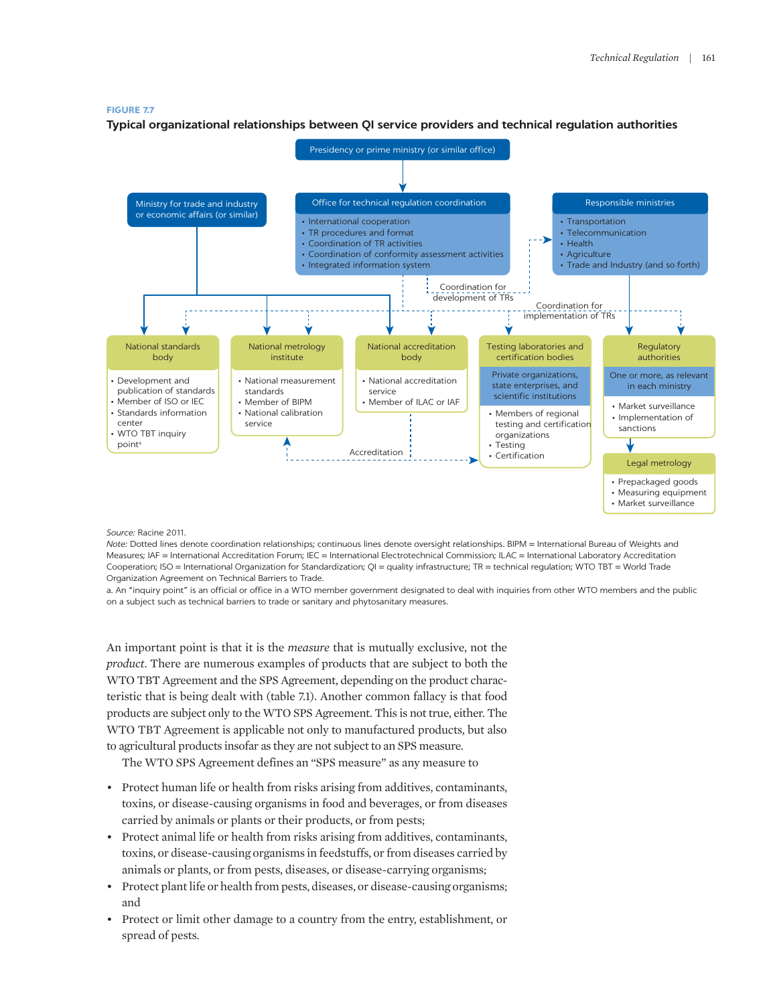#### **FIGURE 7.7**

**Typical organizational relationships between QI service providers and technical regulation authorities**



#### *Source:* Racine 2011.

*Note:* Dotted lines denote coordination relationships; continuous lines denote oversight relationships. BIPM = International Bureau of Weights and Measures; IAF = International Accreditation Forum; IEC = International Electrotechnical Commission; ILAC = International Laboratory Accreditation Cooperation; ISO = International Organization for Standardization; QI = quality infrastructure; TR = technical regulation; WTO TBT = World Trade Organization Agreement on Technical Barriers to Trade.

a. An "inquiry point" is an official or office in a WTO member government designated to deal with inquiries from other WTO members and the public on a subject such as technical barriers to trade or sanitary and phytosanitary measures.

An important point is that it is the *measure* that is mutually exclusive, not the *product*. There are numerous examples of products that are subject to both the WTO TBT Agreement and the SPS Agreement, depending on the product characteristic that is being dealt with (table 7.1). Another common fallacy is that food products are subject only to the WTO SPS Agreement. This is not true, either. The WTO TBT Agreement is applicable not only to manufactured products, but also to agricultural products insofar as they are not subject to an SPS measure.

The WTO SPS Agreement defines an "SPS measure" as any measure to

- Protect human life or health from risks arising from additives, contaminants, toxins, or disease-causing organisms in food and beverages, or from diseases carried by animals or plants or their products, or from pests;
- Protect animal life or health from risks arising from additives, contaminants, toxins, or disease-causing organisms in feedstuffs, or from diseases carried by animals or plants, or from pests, diseases, or disease-carrying organisms;
- Protect plant life or health from pests, diseases, or disease-causing organisms; and
- Protect or limit other damage to a country from the entry, establishment, or spread of pests.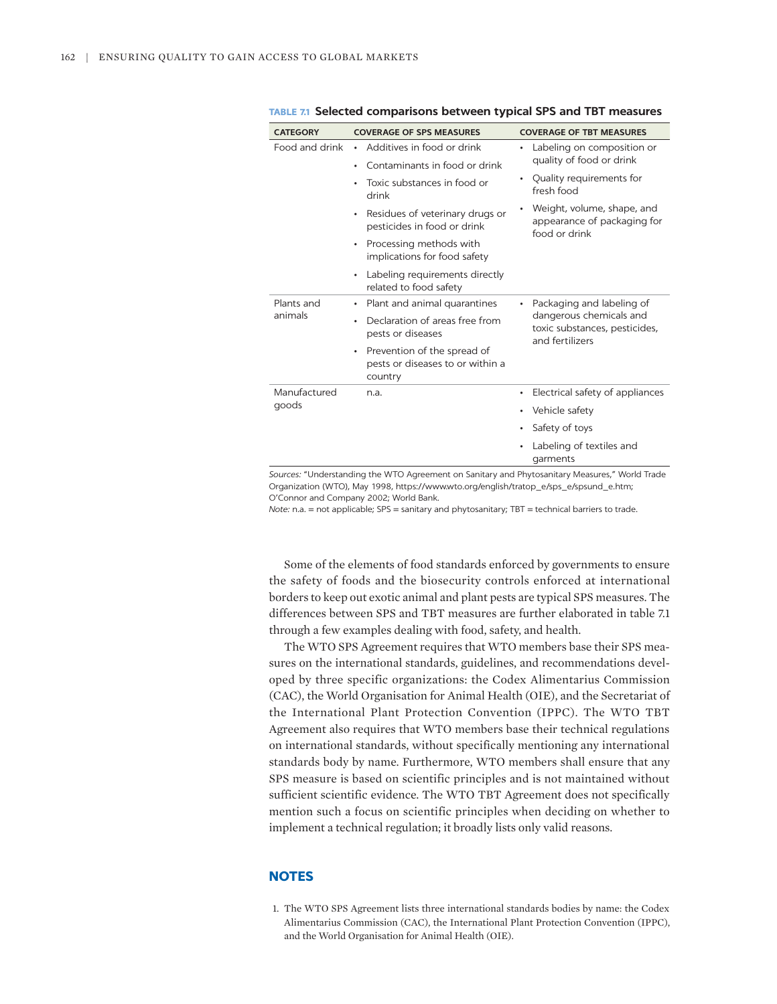| <b>CATEGORY</b>       | <b>COVERAGE OF SPS MEASURES</b>                                                 | <b>COVERAGE OF TBT MEASURES</b>                                                                          |
|-----------------------|---------------------------------------------------------------------------------|----------------------------------------------------------------------------------------------------------|
| Food and drink        | Additives in food or drink<br>$\bullet$                                         | Labeling on composition or<br>$\bullet$<br>quality of food or drink                                      |
|                       | Contaminants in food or drink<br>٠                                              |                                                                                                          |
|                       | Toxic substances in food or<br>$\bullet$<br>drink                               | Quality requirements for<br>$\bullet$<br>fresh food                                                      |
|                       | Residues of veterinary drugs or<br>٠<br>pesticides in food or drink             | Weight, volume, shape, and<br>٠<br>appearance of packaging for<br>food or drink                          |
|                       | Processing methods with<br>٠<br>implications for food safety                    |                                                                                                          |
|                       | Labeling requirements directly<br>٠<br>related to food safety                   |                                                                                                          |
| Plants and<br>animals | Plant and animal quarantines<br>٠                                               | Packaging and labeling of<br>dangerous chemicals and<br>toxic substances, pesticides,<br>and fertilizers |
|                       | Declaration of areas free from<br>٠<br>pests or diseases                        |                                                                                                          |
|                       | Prevention of the spread of<br>٠<br>pests or diseases to or within a<br>country |                                                                                                          |
| Manufactured<br>goods | n.a.                                                                            | Electrical safety of appliances<br>٠                                                                     |
|                       |                                                                                 | Vehicle safety<br>٠                                                                                      |
|                       |                                                                                 | Safety of toys<br>٠                                                                                      |
|                       |                                                                                 | Labeling of textiles and<br>garments                                                                     |

**TABLE 7.1 Selected comparisons between typical SPS and TBT measures** 

*Sources:* "Understanding the WTO Agreement on Sanitary and Phytosanitary Measures," World Trade Organization (WTO), May 1998, [https://www.wto.org/english/tratop\\_e/sps\\_e/spsund\\_e.htm;](https://www.wto.org/english/tratop_e/sps_e/spsund_e.htm) O'Connor and Company 2002; World Bank.

*Note:* n.a. = not applicable; SPS = sanitary and phytosanitary; TBT = technical barriers to trade.

Some of the elements of food standards enforced by governments to ensure the safety of foods and the biosecurity controls enforced at international borders to keep out exotic animal and plant pests are typical SPS measures. The differences between SPS and TBT measures are further elaborated in table 7.1 through a few examples dealing with food, safety, and health.

The WTO SPS Agreement requires that WTO members base their SPS measures on the international standards, guidelines, and recommendations developed by three specific organizations: the Codex Alimentarius Commission (CAC), the World Organisation for Animal Health (OIE), and the Secretariat of the International Plant Protection Convention (IPPC). The WTO TBT Agreement also requires that WTO members base their technical regulations on international standards, without specifically mentioning any international standards body by name. Furthermore, WTO members shall ensure that any SPS measure is based on scientific principles and is not maintained without sufficient scientific evidence. The WTO TBT Agreement does not specifically mention such a focus on scientific principles when deciding on whether to implement a technical regulation; it broadly lists only valid reasons.

# **NOTES**

<span id="page-21-0"></span>[1.](#page-5-0) [The WTO](#page-5-0) [SPS](#page-5-0) [Agreement](#page-5-0) [lists three international](#page-5-0) [standards bodies](#page-5-0) [by name: the Codex](#page-5-0)  [Alimentarius Commission \(CAC\), the International](#page-5-0) [Plant](#page-5-0) [Protection Convention \(IPPC\),](#page-5-0) [and the World Organisation for Animal Health \(OIE\).](#page-5-0)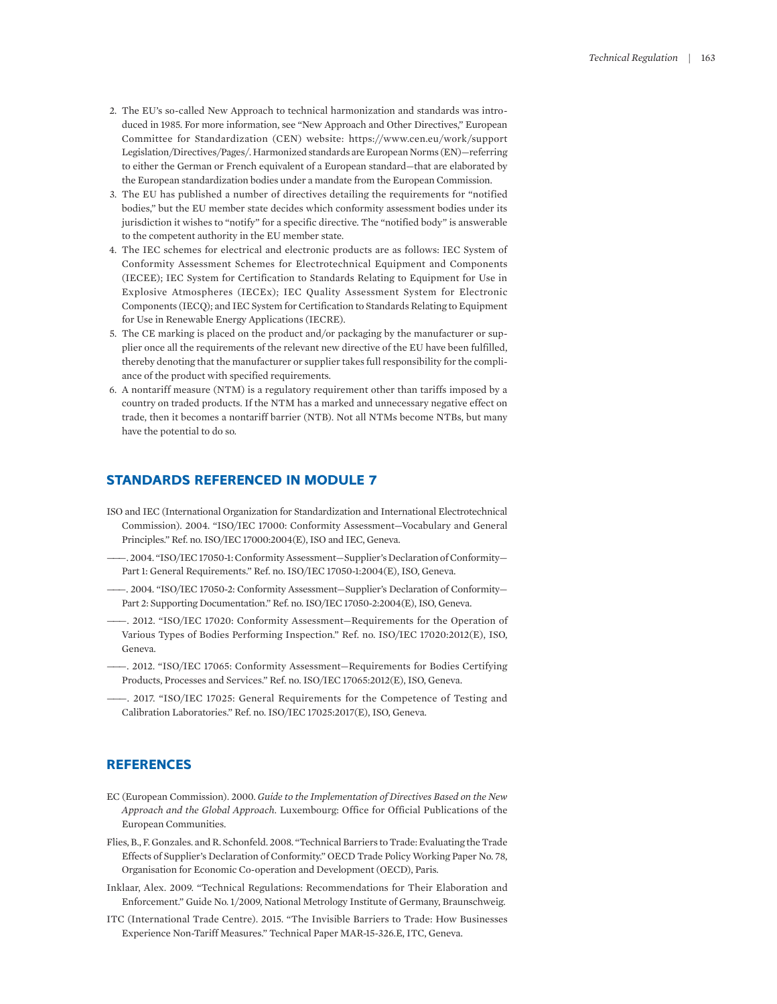- <span id="page-22-0"></span>[2.](#page-7-0) [The EU's so-called](#page-7-0) [New Approach to technical harmonization and standards](#page-7-0) [was intro](#page-7-0)[duced in](#page-7-0) [1985. For](#page-7-0) [more information, see "New Approach and](#page-7-0) [Other Directives,"](#page-7-0) [European](#page-7-0)  [Committee](#page-7-0) [for](#page-7-0) [Standardization](#page-7-0) [\(CEN\)](#page-7-0) [website:](#page-7-0) [https://www.cen.eu/work/support](https://www.cen.eu/work/supportLegislation/Directives/Pages/) [Legislation/Directives/Pages/.](https://www.cen.eu/work/supportLegislation/Directives/Pages/) [Harmonized standards are European Norms \(EN\)—re](#page-7-0)f[erring](#page-7-0) [to either the German or French equivalent of a European standard—that are elaborated by](#page-7-0)  [the European standardization bodies under a mandate from the European Commission.](#page-7-0)
- <span id="page-22-1"></span>[3.](#page-10-0) [The](#page-10-0) [EU has](#page-10-0) [published](#page-10-0) [a](#page-10-0) [number](#page-10-0) [of directives](#page-10-0) [detailing the](#page-10-0) [requirements](#page-10-0) [for "notified](#page-10-0) [bodies," but](#page-10-0) [the EU member](#page-10-0) [state decides](#page-10-0) [which conformity assessment bodies](#page-10-0) [under its](#page-10-0)  [jurisdiction it](#page-10-0) [wishes](#page-10-0) [to "notify" for a specific directive. The "notified](#page-10-0) [body" is answerable](#page-10-0)  [to the competent authority in the EU member state.](#page-10-0)
- <span id="page-22-2"></span>[4.](#page-10-1) [The](#page-10-1) [IEC schemes for electrical and](#page-10-1) [electronic products](#page-10-1) [are as follows: IEC System of](#page-10-1)  [Conformity Assessment](#page-10-1) [Schemes for](#page-10-1) [Electrotechnical Equipment](#page-10-1) [and Components](#page-10-1) [\(IECEE\); IEC System for](#page-10-1) [Certification](#page-10-1) [to Standards Relating](#page-10-1) [to Equipment](#page-10-1) [for Use in](#page-10-1)  [Explosive](#page-10-1) [Atmospheres \(IECEx\);](#page-10-1) [IEC](#page-10-1) [Quality Assessment System](#page-10-1) [for Electronic](#page-10-1) [Components \(IECQ\); and IEC System for Certification to Standards Relating](#page-10-1) [to Equipment](#page-10-1) [for Use in](#page-10-1) [Renewable Energy Applications](#page-10-1) [\(IECRE\).](#page-10-1)
- <span id="page-22-3"></span>[5.](#page-12-0) [The CE](#page-12-0) [marking](#page-12-0) [is placed on](#page-12-0) [the product and/or](#page-12-0) [packaging by the](#page-12-0) [manufacturer](#page-12-0) [or sup](#page-12-0)[plier once all](#page-12-0) [the requirements of the relevant new directive of](#page-12-0) [the EU have been fulfilled,](#page-12-0) [thereby](#page-12-0) [denoting that the manufacturer or supplier](#page-12-0) [takes](#page-12-0) [full](#page-12-0) [responsibility](#page-12-0) [for the](#page-12-0) [compli](#page-12-0)[ance of the](#page-12-0) [product with specified requirements.](#page-12-0)
- <span id="page-22-4"></span>[6.](#page-15-0) [A](#page-15-0) [nontariff](#page-15-0) [measure \(NTM\)](#page-15-0) [is a regulatory requirement other](#page-15-0) [than](#page-15-0) [tariffs](#page-15-0) [imposed by a](#page-15-0)  [country on](#page-15-0) [traded products.](#page-15-0) [If the NTM has a marked and unnecessary negative effect on](#page-15-0)  [trade, then](#page-15-0) [it becomes a](#page-15-0) [nontariff](#page-15-0) [barrier](#page-15-0) [\(NTB\).](#page-15-0) [Not](#page-15-0) [all NTMs](#page-15-0) [become NTBs,](#page-15-0) [but](#page-15-0) [many](#page-15-0) [have the potential to do so.](#page-15-0)

# **STANDARDS REFERENCED IN MODULE 7**

- ISO and IEC (International Organization for Standardization and International Electrotechnical Commission). 2004. "ISO/IEC 17000: Conformity Assessment—Vocabulary and General Principles." Ref. no. ISO/IEC 17000:2004(E), ISO and IEC, Geneva.
- ———. 2004. "ISO/IEC 17050-1: Conformity Assessment—Supplier's Declaration of Conformity— Part 1: General Requirements." Ref. no. ISO/IEC 17050-1:2004(E), ISO, Geneva.
- ———. 2004. "ISO/IEC 17050-2: Conformity Assessment—Supplier's Declaration of Conformity— Part 2: Supporting Documentation." Ref. no. ISO/IEC 17050-2:2004(E), ISO, Geneva.
- ———. 2012. "ISO/IEC 17020: Conformity Assessment—Requirements for the Operation of Various Types of Bodies Performing Inspection." Ref. no. ISO/IEC 17020:2012(E), ISO, Geneva.
- ———. 2012. "ISO/IEC 17065: Conformity Assessment—Requirements for Bodies Certifying Products, Processes and Services." Ref. no. ISO/IEC 17065:2012(E), ISO, Geneva.
- ———. 2017. "ISO/IEC 17025: General Requirements for the Competence of Testing and Calibration Laboratories." Ref. no. ISO/IEC 17025:2017(E), ISO, Geneva.

# **REFERENCES**

- EC (European Commission). 2000. *Guide to the Implementation of Directives Based on the New Approach and the Global Approach*. Luxembourg: Office for Official Publications of the European Communities.
- Flies, B., F. Gonzales. and R. Schonfeld. 2008. "Technical Barriers to Trade: Evaluating the Trade Effects of Supplier's Declaration of Conformity." OECD Trade Policy Working Paper No. 78, Organisation for Economic Co-operation and Development (OECD), Paris.
- Inklaar, Alex. 2009. "Technical Regulations: Recommendations for Their Elaboration and Enforcement." Guide No. 1/2009, National Metrology Institute of Germany, Braunschweig.
- ITC (International Trade Centre). 2015. "The Invisible Barriers to Trade: How Businesses Experience Non-Tariff Measures." Technical Paper MAR-15-326.E, ITC, Geneva.